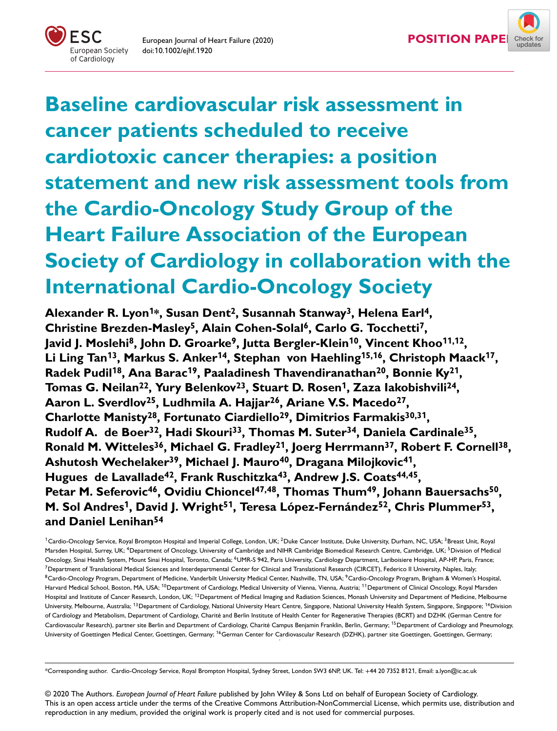



**Baseline cardiovascular risk assessment in cancer patients scheduled to receive cardiotoxic cancer therapies: a position statement and new risk assessment tools from the Cardio-Oncology Study Group of the Heart Failure Association of the European Society of Cardiology in collaboration with the International Cardio-Oncology Society**

**Alexander R. Lyon<sup>1</sup>\*, Susan Dent2, Susannah Stanway3, Helena Earl4, Christine Brezden-Masley5, Alain Cohen-Solal6, Carlo G. Tocchetti7, Javid J. Moslehi8, John D. Groarke9, Jutta Bergler-Klein<sup>1</sup>0, Vincent Khoo<sup>11</sup>,<sup>1</sup>2, Li Ling Tan<sup>1</sup>3, Markus S. Anker<sup>1</sup>4, Stephan von Haehling<sup>1</sup>5,<sup>1</sup>6, Christoph Maack<sup>1</sup>7, Radek Pudil<sup>1</sup>8, Ana Barac<sup>1</sup>9, Paaladinesh Thavendiranathan20, Bonnie Ky2<sup>1</sup>, Tomas G. Neilan22, Yury Belenkov23, Stuart D. Rosen<sup>1</sup>, Zaza Iakobishvili24, Aaron L. Sverdlov25, Ludhmila A. Hajjar26, Ariane V.S. Macedo27, Charlotte Manisty28, Fortunato Ciardiello29, Dimitrios Farmakis30,3<sup>1</sup>, Rudolf A. de Boer32, Hadi Skouri33, Thomas M. Suter34, Daniela Cardinale35, Ronald M. Witteles36, Michael G. Fradley2<sup>1</sup>, Joerg Herrmann37, Robert F. Cornell38, Ashutosh Wechelaker39, Michael J. Mauro40, Dragana Milojkovic4<sup>1</sup>, Hugues de Lavallade42, Frank Ruschitzka43, Andrew J.S. Coats44,45,** Petar M. Seferovic<sup>46</sup>, Ovidiu Chioncel<sup>47,48</sup>, Thomas Thum<sup>49</sup>, Johann Bauersachs<sup>50</sup>, **M. Sol Andres<sup>1</sup>, David J. Wright5<sup>1</sup>, Teresa López-Fernández52, Chris Plummer53, and Daniel Lenihan54**

<sup>1</sup>Cardio-Oncology Service, Royal Brompton Hospital and Imperial College, London, UK; <sup>2</sup>Duke Cancer Institute, Duke University, Durham, NC, USA; <sup>3</sup>Breast Unit, Royal Marsden Hospital, Surrey, UK; <sup>4</sup>Department of Oncology, University of Cambridge and NIHR Cambridge Biomedical Research Centre, Cambridge, UK; <sup>5</sup>Division of Medical Oncology, Sinai Health System, Mount Sinai Hospital, Toronto, Canada; <sup>6</sup>UMR-S 942, Paris University, Cardiology Department, Lariboisiere Hospital, AP-HP, Paris, France; 7Department of Translational Medical Sciences and Interdepartmental Center for Clinical and Translational Research (CIRCET), Federico II University, Naples, Italy; <sup>8</sup>Cardio-Oncology Program, Department of Medicine, Vanderbilt University Medical Center, Nashville, TN, USA; <sup>9</sup>Cardio-Oncology Program, Brigham & Women's Hospital, Harvard Medical School, Boston, MA, USA; <sup>10</sup>Department of Cardiology, Medical University of Vienna, Vienna, Austria; <sup>11</sup> Department of Clinical Oncology, Royal Marsden Hospital and Institute of Cancer Research, London, UK; <sup>12</sup>Department of Medical Imaging and Radiation Sciences, Monash University and Department of Medicine, Melbourne University, Melbourne, Australia; <sup>13</sup> Department of Cardiology, National University Heart Centre, Singapore, National University Health System, Singapore, Singapore; <sup>14</sup>Division of Cardiology and Metabolism, Department of Cardiology, Charité and Berlin Institute of Health Center for Regenerative Therapies (BCRT) and DZHK (German Centre for Cardiovascular Research), partner site Berlin and Department of Cardiology, Charité Campus Benjamin Franklin, Berlin, Germany; <sup>15</sup> Department of Cardiology and Pneumology, University of Goettingen Medical Center, Goettingen, Germany; <sup>16</sup>German Center for Cardiovascular Research (DZHK), partner site Goettingen, Goettingen, Germany;

\*Corresponding author. Cardio-Oncology Service, Royal Brompton Hospital, Sydney Street, London SW3 6NP, UK. Tel: +44 20 7352 8121, Email: a.lyon@ic.ac.uk

© 2020 The Authors. *European Journal of Heart Failure* published by John Wiley & Sons Ltd on behalf of European Society of Cardiology. This is an open access article under the terms of the Creative Commons Attribution-NonCommercial License, which permits use, distribution and reproduction in any medium, provided the original work is properly cited and is not used for commercial purposes.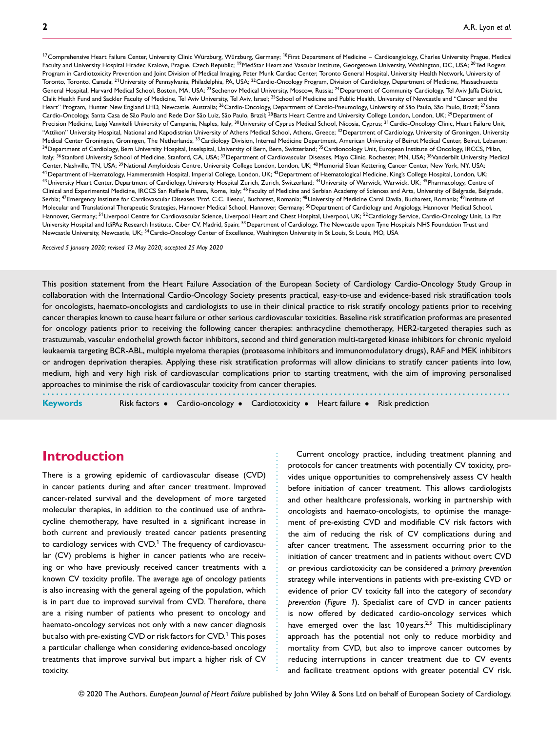<sup>17</sup>Comprehensive Heart Failure Center, University Clinic Würzburg, Würzburg, Germany; <sup>18</sup>First Department of Medicine – Cardioangiology, Charles University Prague, Medical Faculty and University Hospital Hradec Kralove, Prague, Czech Republic; <sup>19</sup>MedStar Heart and Vascular Institute, Georgetown University, Washington, DC, USA; <sup>20</sup>Ted Rogers Program in Cardiotoxicity Prevention and Joint Division of Medical Imaging, Peter Munk Cardiac Center, Toronto General Hospital, University Health Network, University of Toronto, Toronto, Canada; <sup>21</sup> University of Pennsylvania, Philadelphia, PA, USA; <sup>22</sup> Cardio-Oncology Program, Division of Cardiology, Department of Medicine, Massachusetts General Hospital, Harvard Medical School, Boston, MA, USA; <sup>23</sup>Sechenov Medical University, Moscow, Russia; <sup>24</sup>Department of Community Cardiology, Tel Aviv Jaffa District, Clalit Health Fund and Sackler Faculty of Medicine, Tel Aviv University, Tel Aviv, Israel; <sup>25</sup> School of Medicine and Public Health, University of Newcastle and "Cancer and the Heart" Program, Hunter New England LHD, Newcastle, Australia; <sup>26</sup>Cardio-Oncology, Department of Cardio-Pneumology, University of São Paulo, São Paulo, Brazil; <sup>27</sup> Santa Cardio-Oncology, Santa Casa de São Paulo and Rede Dor São Luiz, São Paulo, Brazil; <sup>28</sup>Barts Heart Centre and University College London, London, UK; <sup>29</sup> Department of Precision Medicine, Luigi Vanvitelli University of Campania, Naples, Italy; <sup>30</sup>University of Cyprus Medical School, Nicosia, Cyprus; <sup>31</sup> Cardio-Oncology Clinic, Heart Failure Unit, "Attikon" University Hospital, National and Kapodistrian University of Athens Medical School, Athens, Greece; <sup>32</sup> Department of Cardiology, University of Groningen, University Medical Center Groningen, Groningen, The Netherlands; <sup>33</sup>Cardiology Division, Internal Medicine Department, American University of Beirut Medical Center, Beirut, Lebanon; <sup>34</sup> Department of Cardiology, Bern University Hospital, Inselspital, University of Bern, Bern, Switzerland; <sup>35</sup> Cardioncology Unit, European Institute of Oncology, IRCCS, Milan, Italy; <sup>36</sup>Stanford University School of Medicine, Stanford, CA, USA; <sup>37</sup>Department of Cardiovascular Diseases, Mayo Clinic, Rochester, MN, USA; <sup>38</sup>Vanderbilt University Medical Center, Nashville, TN, USA; <sup>39</sup>National Amyloidosis Centre, University College London, London, UK; <sup>40</sup>Memorial Sloan Kettering Cancer Center, New York, NY, USA; <sup>41</sup> Department of Haematology, Hammersmith Hospital, Imperial College, London, UK; <sup>42</sup> Department of Haematological Medicine, King's College Hospital, London, UK; 43University Heart Center, Department of Cardiology, University Hospital Zurich, Zurich, Switzerland; <sup>44</sup>University of Warwick, Warwick, UK; <sup>45</sup>Pharmacology, Centre of Clinical and Experimental Medicine, IRCCS San Raffaele Pisana, Rome, Italy; 46Faculty of Medicine and Serbian Academy of Sciences and Arts, University of Belgrade, Belgrade, Serbia; <sup>47</sup>Emergency Institute for Cardiovascular Diseases 'Prof. C.C. Iliescu', Bucharest, Romania; <sup>48</sup>University of Medicine Carol Davila, Bucharest, Romania; <sup>49</sup>Institute of Molecular and Translational Therapeutic Strategies, Hannover Medical School, Hannover, Germany; <sup>50</sup>Department of Cardiology and Angiology, Hannover Medical School, Hannover, Germany; <sup>51</sup>Liverpool Centre for Cardiovascular Science, Liverpool Heart and Chest Hospital, Liverpool, UK; <sup>52</sup>Cardiology Service, Cardio-Oncology Unit, La Paz University Hospital and IdiPAz Research Institute, Ciber CV, Madrid, Spain; <sup>53</sup>Department of Cardiology, The Newcastle upon Tyne Hospitals NHS Foundation Trust and Newcastle University, Newcastle, UK; <sup>54</sup>Cardio-Oncology Center of Excellence, Washington University in St Louis, St Louis, MO, USA

*Received 5 January 2020; revised* 1*3 May 2020; accepted 25 May 2020*

This position statement from the Heart Failure Association of the European Society of Cardiology Cardio-Oncology Study Group in collaboration with the International Cardio-Oncology Society presents practical, easy-to-use and evidence-based risk stratification tools for oncologists, haemato-oncologists and cardiologists to use in their clinical practice to risk stratify oncology patients prior to receiving cancer therapies known to cause heart failure or other serious cardiovascular toxicities. Baseline risk stratification proformas are presented for oncology patients prior to receiving the following cancer therapies: anthracycline chemotherapy, HER2-targeted therapies such as trastuzumab, vascular endothelial growth factor inhibitors, second and third generation multi-targeted kinase inhibitors for chronic myeloid leukaemia targeting BCR-ABL, multiple myeloma therapies (proteasome inhibitors and immunomodulatory drugs), RAF and MEK inhibitors or androgen deprivation therapies. Applying these risk stratification proformas will allow clinicians to stratify cancer patients into low, medium, high and very high risk of cardiovascular complications prior to starting treatment, with the aim of improving personalised approaches to minimise the risk of cardiovascular toxicity from cancer therapies. *..........................................................................................................*

**Keywords** Risk factors • Cardio-oncology • Cardiotoxicity • Heart failure • Risk prediction

## **Introduction**

There is a growing epidemic of cardiovascular disease (CVD) in cancer patients during and after cancer treatment. Improved cancer-related survival and the development of more targeted molecular therapies, in addition to the continued use of anthracycline chemotherapy, have resulted in a significant increase in both current and previously treated cancer patients presenting to cardiology services with  $CVD$ .<sup>1</sup> The frequency of cardiovascular (CV) problems is higher in cancer patients who are receiving or who have previously received cancer treatments with a known CV toxicity profile. The average age of oncology patients is also increasing with the general ageing of the population, which is in part due to improved survival from CVD. Therefore, there are a rising number of patients who present to oncology and haemato-oncology services not only with a new cancer diagnosis but also with pre-existing CVD or risk factors for CVD.<sup>1</sup> This poses a particular challenge when considering evidence-based oncology treatments that improve survival but impart a higher risk of CV toxicity.

Current oncology practice, including treatment planning and protocols for cancer treatments with potentially CV toxicity, provides unique opportunities to comprehensively assess CV health before initiation of cancer treatment. This allows cardiologists and other healthcare professionals, working in partnership with oncologists and haemato-oncologists, to optimise the management of pre-existing CVD and modifiable CV risk factors with the aim of reducing the risk of CV complications during and after cancer treatment. The assessment occurring prior to the initiation of cancer treatment and in patients without overt CVD or previous cardiotoxicity can be considered a *primary prevention* strategy while interventions in patients with pre-existing CVD or evidence of prior CV toxicity fall into the category of *secondary prevention* (*Figure* 1). Specialist care of CVD in cancer patients is now offered by dedicated cardio-oncology services which have emerged over the last  $10 \,\text{years}^{2,3}$  This multidisciplinary approach has the potential not only to reduce morbidity and mortality from CVD, but also to improve cancer outcomes by reducing interruptions in cancer treatment due to CV events and facilitate treatment options with greater potential CV risk.

............................................................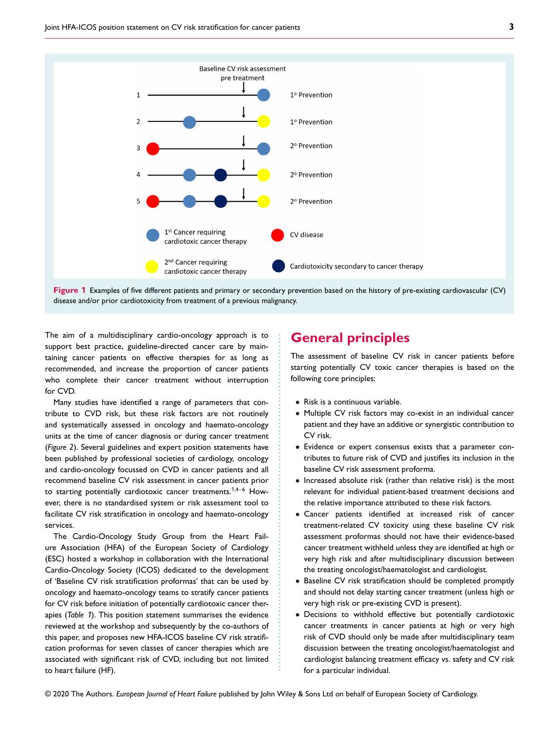



............................................................................................

The aim of a multidisciplinary cardio-oncology approach is to support best practice, guideline-directed cancer care by maintaining cancer patients on effective therapies for as long as recommended, and increase the proportion of cancer patients who complete their cancer treatment without interruption for CVD.

Many studies have identified a range of parameters that contribute to CVD risk, but these risk factors are not routinely and systematically assessed in oncology and haemato-oncology units at the time of cancer diagnosis or during cancer treatment (*Figure 2*). Several guidelines and expert position statements have been published by professional societies of cardiology, oncology and cardio-oncology focussed on CVD in cancer patients and all recommend baseline CV risk assessment in cancer patients prior to starting potentially cardiotoxic cancer treatments.<sup>1,4-6</sup> However, there is no standardised system or risk assessment tool to facilitate CV risk stratification in oncology and haemato-oncology services.

The Cardio-Oncology Study Group from the Heart Failure Association (HFA) of the European Society of Cardiology (ESC) hosted a workshop in collaboration with the International Cardio-Oncology Society (ICOS) dedicated to the development of 'Baseline CV risk stratification proformas' that can be used by oncology and haemato-oncology teams to stratify cancer patients for CV risk before initiation of potentially cardiotoxic cancer therapies (*Table* 1). This position statement summarises the evidence reviewed at the workshop and subsequently by the co-authors of this paper, and proposes new HFA-ICOS baseline CV risk stratification proformas for seven classes of cancer therapies which are associated with significant risk of CVD, including but not limited to heart failure (HF).

## **General principles**

The assessment of baseline CV risk in cancer patients before starting potentially CV toxic cancer therapies is based on the following core principles:

- Risk is a continuous variable.
- Multiple CV risk factors may co-exist in an individual cancer patient and they have an additive or synergistic contribution to CV risk.
- Evidence or expert consensus exists that a parameter contributes to future risk of CVD and justifies its inclusion in the baseline CV risk assessment proforma.
- Increased absolute risk (rather than relative risk) is the most relevant for individual patient-based treatment decisions and the relative importance attributed to these risk factors.
- Cancer patients identified at increased risk of cancer treatment-related CV toxicity using these baseline CV risk assessment proformas should not have their evidence-based cancer treatment withheld unless they are identified at high or very high risk and after multidisciplinary discussion between the treating oncologist/haematologist and cardiologist.
- Baseline CV risk stratification should be completed promptly and should not delay starting cancer treatment (unless high or very high risk or pre-existing CVD is present).
- Decisions to withhold effective but potentially cardiotoxic cancer treatments in cancer patients at high or very high risk of CVD should only be made after multidisciplinary team discussion between the treating oncologist/haematologist and cardiologist balancing treatment efficacy vs. safety and CV risk for a particular individual.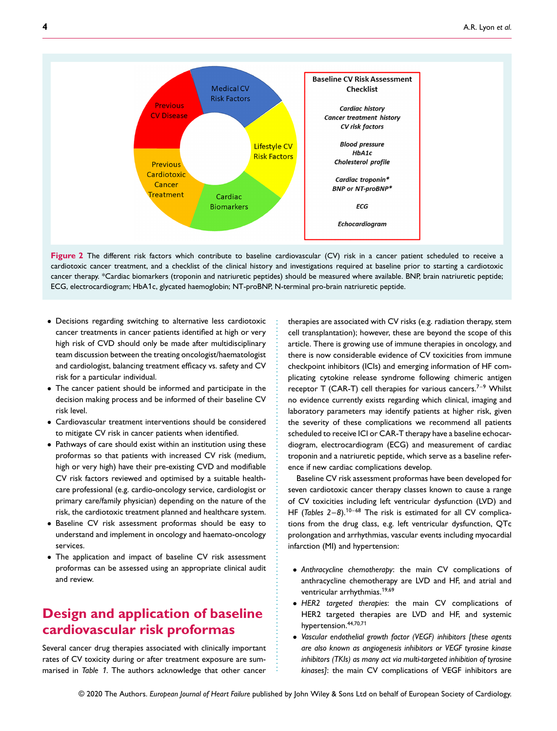



................................................. ...............................................

- Decisions regarding switching to alternative less cardiotoxic cancer treatments in cancer patients identified at high or very high risk of CVD should only be made after multidisciplinary team discussion between the treating oncologist/haematologist and cardiologist, balancing treatment efficacy vs. safety and CV risk for a particular individual.
- The cancer patient should be informed and participate in the decision making process and be informed of their baseline CV risk level.
- Cardiovascular treatment interventions should be considered to mitigate CV risk in cancer patients when identified.
- Pathways of care should exist within an institution using these proformas so that patients with increased CV risk (medium, high or very high) have their pre-existing CVD and modifiable CV risk factors reviewed and optimised by a suitable healthcare professional (e.g. cardio-oncology service, cardiologist or primary care/family physician) depending on the nature of the risk, the cardiotoxic treatment planned and healthcare system.
- Baseline CV risk assessment proformas should be easy to understand and implement in oncology and haemato-oncology services.
- The application and impact of baseline CV risk assessment proformas can be assessed using an appropriate clinical audit and review.

# **Design and application of baseline cardiovascular risk proformas**

Several cancer drug therapies associated with clinically important rates of CV toxicity during or after treatment exposure are summarised in *Table* 1. The authors acknowledge that other cancer therapies are associated with CV risks (e.g. radiation therapy, stem cell transplantation); however, these are beyond the scope of this article. There is growing use of immune therapies in oncology, and there is now considerable evidence of CV toxicities from immune checkpoint inhibitors (ICIs) and emerging information of HF complicating cytokine release syndrome following chimeric antigen receptor T (CAR-T) cell therapies for various cancers.<sup>7-9</sup> Whilst no evidence currently exists regarding which clinical, imaging and laboratory parameters may identify patients at higher risk, given the severity of these complications we recommend all patients scheduled to receive ICI or CAR-T therapy have a baseline echocardiogram, electrocardiogram (ECG) and measurement of cardiac troponin and a natriuretic peptide, which serve as a baseline reference if new cardiac complications develop.

Baseline CV risk assessment proformas have been developed for seven cardiotoxic cancer therapy classes known to cause a range of CV toxicities including left ventricular dysfunction (LVD) and HF (*Tables 2-8*).<sup>10-68</sup> The risk is estimated for all CV complications from the drug class, e.g. left ventricular dysfunction, QTc prolongation and arrhythmias, vascular events including myocardial infarction (MI) and hypertension:

- *Anthracycline chemotherapy*: the main CV complications of anthracycline chemotherapy are LVD and HF, and atrial and ventricular arrhythmias.<sup>1</sup>9,69
- *HER2 targeted therapies*: the main CV complications of HER2 targeted therapies are LVD and HF, and systemic hypertension.44,70,7<sup>1</sup>
- *Vascular endothelial growth factor (VEGF) inhibitors [these agents are also known as angiogenesis inhibitors or VEGF tyrosine kinase inhibitors (TKIs) as many act via multi-targeted inhibition of tyrosine kinases]*: the main CV complications of VEGF inhibitors are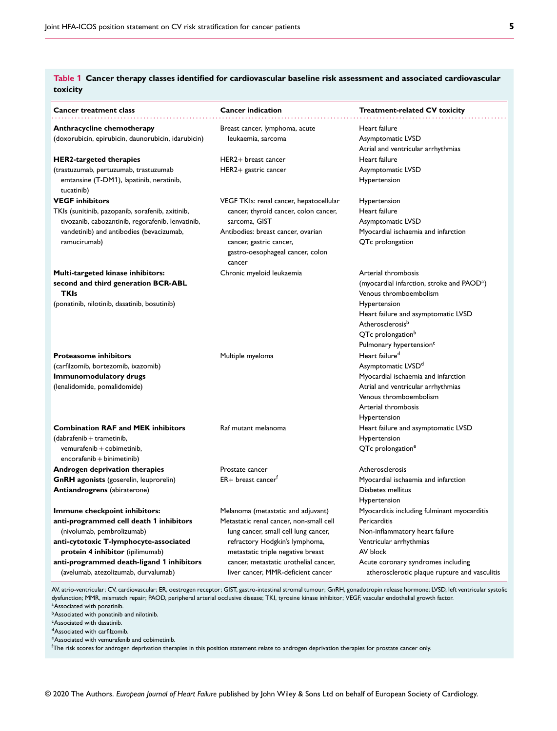## **Table 1 Cancer therapy classes identified for cardiovascular baseline risk assessment and associated cardiovascular toxicity**

| <b>Cancer treatment class</b>                          | <b>Cancer indication</b>                                              | <b>Treatment-related CV toxicity</b>                   |
|--------------------------------------------------------|-----------------------------------------------------------------------|--------------------------------------------------------|
| Anthracycline chemotherapy                             | Breast cancer, lymphoma, acute                                        | Heart failure                                          |
| (doxorubicin, epirubicin, daunorubicin, idarubicin)    | leukaemia, sarcoma                                                    | Asymptomatic LVSD                                      |
|                                                        |                                                                       | Atrial and ventricular arrhythmias                     |
| <b>HER2-targeted therapies</b>                         | HER2+ breast cancer                                                   | Heart failure                                          |
| (trastuzumab, pertuzumab, trastuzumab                  | HER2+ gastric cancer                                                  | Asymptomatic LVSD                                      |
| emtansine (T-DM1), lapatinib, neratinib,<br>tucatinib) |                                                                       | Hypertension                                           |
| <b>VEGF inhibitors</b>                                 | VEGF TKIs: renal cancer, hepatocellular                               | Hypertension                                           |
| TKIs (sunitinib, pazopanib, sorafenib, axitinib,       | cancer, thyroid cancer, colon cancer,                                 | Heart failure                                          |
| tivozanib, cabozantinib, regorafenib, lenvatinib,      | sarcoma, GIST                                                         | Asymptomatic LVSD                                      |
| vandetinib) and antibodies (bevacizumab,               | Antibodies: breast cancer, ovarian                                    | Myocardial ischaemia and infarction                    |
| ramucirumab)                                           | cancer, gastric cancer,<br>gastro-oesophageal cancer, colon<br>cancer | QTc prolongation                                       |
| Multi-targeted kinase inhibitors:                      | Chronic myeloid leukaemia                                             | Arterial thrombosis                                    |
| second and third generation BCR-ABL                    |                                                                       | (myocardial infarction, stroke and PAOD <sup>a</sup> ) |
| <b>TKIs</b>                                            |                                                                       | Venous thromboembolism                                 |
| (ponatinib, nilotinib, dasatinib, bosutinib)           |                                                                       | Hypertension                                           |
|                                                        |                                                                       | Heart failure and asymptomatic LVSD                    |
|                                                        |                                                                       | Atherosclerosisb                                       |
|                                                        |                                                                       | QTc prolongation <sup>b</sup>                          |
|                                                        |                                                                       | Pulmonary hypertension <sup>c</sup>                    |
| <b>Proteasome inhibitors</b>                           |                                                                       | Heart failure <sup>d</sup>                             |
|                                                        | Multiple myeloma                                                      | Asymptomatic LVSD <sup>d</sup>                         |
| (carfilzomib, bortezomib, ixazomib)                    |                                                                       |                                                        |
| Immunomodulatory drugs                                 |                                                                       | Myocardial ischaemia and infarction                    |
| (lenalidomide, pomalidomide)                           |                                                                       | Atrial and ventricular arrhythmias                     |
|                                                        |                                                                       | Venous thromboembolism<br>Arterial thrombosis          |
|                                                        |                                                                       |                                                        |
|                                                        |                                                                       | Hypertension                                           |
| <b>Combination RAF and MEK inhibitors</b>              | Raf mutant melanoma                                                   | Heart failure and asymptomatic LVSD                    |
| $(dabrafenib + trametinib,$                            |                                                                       | Hypertension                                           |
| vemurafenib + cobimetinib,                             |                                                                       | QTc prolongation <sup>e</sup>                          |
| encorafenib + binimetinib)                             |                                                                       |                                                        |
| Androgen deprivation therapies                         | Prostate cancer                                                       | Atherosclerosis                                        |
| <b>GnRH</b> agonists (goserelin, leuprorelin)          | $ER+$ breast cancer <sup>f</sup>                                      | Myocardial ischaemia and infarction                    |
| Antiandrogrens (abiraterone)                           |                                                                       | Diabetes mellitus                                      |
|                                                        |                                                                       | Hypertension                                           |
| Immune checkpoint inhibitors:                          | Melanoma (metastatic and adjuvant)                                    | Myocarditis including fulminant myocarditis            |
| anti-programmed cell death 1 inhibitors                | Metastatic renal cancer, non-small cell                               | Pericarditis                                           |
| (nivolumab, pembrolizumab)                             | lung cancer, small cell lung cancer,                                  | Non-inflammatory heart failure                         |
| anti-cytotoxic T-lymphocyte-associated                 | refractory Hodgkin's lymphoma,                                        | Ventricular arrhythmias                                |
| protein 4 inhibitor (ipilimumab)                       | metastatic triple negative breast                                     | AV block                                               |
| anti-programmed death-ligand 1 inhibitors              | cancer, metastatic urothelial cancer,                                 | Acute coronary syndromes including                     |
| (avelumab, atezolizumab, durvalumab)                   | liver cancer, MMR-deficient cancer                                    | atherosclerotic plaque rupture and vasculitis          |

AV, atrio-ventricular; CV, cardiovascular; ER, oestrogen receptor; GIST, gastro-intestinal stromal tumour; GnRH, gonadotropin release hormone; LVSD, left ventricular systolic dysfunction; MMR, mismatch repair; PAOD, peripheral arterial occlusive disease; TKI, tyrosine kinase inhibitor; VEGF, vascular endothelial growth factor. a Associated with ponatinib.

**b**Associated with ponatinib and nilotinib.

<sup>c</sup>Associated with dasatinib.

dAssociated with carfilzomib.

eAssociated with vemurafenib and cobimetinib.

f The risk scores for androgen deprivation therapies in this position statement relate to androgen deprivation therapies for prostate cancer only.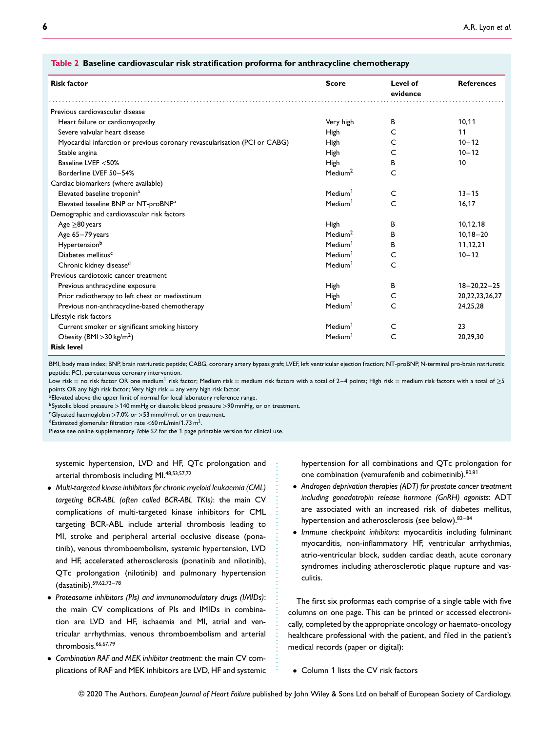| <b>Risk factor</b>                                                         | <b>Score</b>        | Level of | <b>References</b>  |
|----------------------------------------------------------------------------|---------------------|----------|--------------------|
|                                                                            |                     | evidence |                    |
| Previous cardiovascular disease                                            |                     |          |                    |
| Heart failure or cardiomyopathy                                            | Very high           | в        | 10,11              |
| Severe valvular heart disease                                              | High                | C        | 11                 |
| Myocardial infarction or previous coronary revascularisation (PCI or CABG) | High                | C        | $10 - 12$          |
| Stable angina                                                              | High                | C        | $10 - 12$          |
| Baseline LVEF <50%                                                         | High                | В        | 10                 |
| Borderline LVEF 50-54%                                                     | Medium <sup>2</sup> | C        |                    |
| Cardiac biomarkers (where available)                                       |                     |          |                    |
| Elevated baseline troponin <sup>a</sup>                                    | Medium <sup>1</sup> | C        | $13 - 15$          |
| Elevated baseline BNP or NT-proBNPa                                        | Medium <sup>1</sup> | C        | 16,17              |
| Demographic and cardiovascular risk factors                                |                     |          |                    |
| Age $\geq$ 80 years                                                        | High                | в        | 10,12,18           |
| Age 65-79 years                                                            | Medium <sup>2</sup> | в        | $10.18 - 20$       |
| Hypertension <sup>b</sup>                                                  | Medium <sup>1</sup> | в        | 11.12.21           |
| Diabetes mellitus <sup>c</sup>                                             | Medium <sup>1</sup> | C        | $10 - 12$          |
| Chronic kidney diseased                                                    | Medium <sup>1</sup> | C        |                    |
| Previous cardiotoxic cancer treatment                                      |                     |          |                    |
| Previous anthracycline exposure                                            | High                | в        | $18 - 20, 22 - 25$ |
| Prior radiotherapy to left chest or mediastinum                            | High                | C        | 20, 22, 23, 26, 27 |
| Previous non-anthracycline-based chemotherapy                              | Medium <sup>1</sup> | C        | 24,25,28           |
| Lifestyle risk factors                                                     |                     |          |                    |
| Current smoker or significant smoking history                              | Medium <sup>1</sup> | C        | 23                 |
| Obesity (BMI $>$ 30 kg/m <sup>2</sup> )                                    | Medium <sup>1</sup> | C        | 20,29,30           |
| <b>Risk level</b>                                                          |                     |          |                    |

#### **Table 2 Baseline cardiovascular risk stratification proforma for anthracycline chemotherapy**

BMI, body mass index; BNP, brain natriuretic peptide; CABG, coronary artery bypass graft; LVEF, left ventricular ejection fraction; NT-proBNP, N-terminal pro-brain natriuretic peptide; PCI, percutaneous coronary intervention.

Low risk = no risk factor OR one medium<sup>1</sup> risk factor; Medium risk = medium risk factors with a total of 2–4 points; High risk = medium risk factors with a total of ≥5 points OR any high risk factor; Very high risk = any very high risk factor.

.........................................................

<sup>a</sup> Elevated above the upper limit of normal for local laboratory reference range.

bSystolic blood pressure *>*140 mmHg or diastolic blood pressure *>*90 mmHg, or on treatment.

cGlycated haemoglobin *>*7.0% or *>*53 mmol/mol, or on treatment.

dEstimated glomerular filtration rate *<*60 mL/min/1.73 m2.

Please see online supplementary *Table S2* for the 1 page printable version for clinical use.

systemic hypertension, LVD and HF, QTc prolongation and arterial thrombosis including MI.48,53,57,72

- *Multi-targeted kinase inhibitors for chronic myeloid leukaemia (CML) targeting BCR-ABL (often called BCR-ABL TKIs)*: the main CV complications of multi-targeted kinase inhibitors for CML targeting BCR-ABL include arterial thrombosis leading to MI, stroke and peripheral arterial occlusive disease (ponatinib), venous thromboembolism, systemic hypertension, LVD and HF, accelerated atherosclerosis (ponatinib and nilotinib), QTc prolongation (nilotinib) and pulmonary hypertension (dasatinib).59,62,73–78
- *Proteasome inhibitors (PIs) and immunomodulatory drugs (IMIDs)*: the main CV complications of PIs and IMIDs in combination are LVD and HF, ischaemia and MI, atrial and ventricular arrhythmias, venous thromboembolism and arterial thrombosis.66,67,79
- *Combination RAF and MEK inhibitor treatment*: the main CV complications of RAF and MEK inhibitors are LVD, HF and systemic

hypertension for all combinations and QTc prolongation for one combination (vemurafenib and cobimetinib).<sup>80,81</sup>

- *Androgen deprivation therapies (ADT) for prostate cancer treatment including gonadotropin release hormone (GnRH) agonists*: ADT are associated with an increased risk of diabetes mellitus, hypertension and atherosclerosis (see below). 82-84
- *Immune checkpoint inhibitors*: myocarditis including fulminant myocarditis, non-inflammatory HF, ventricular arrhythmias, atrio-ventricular block, sudden cardiac death, acute coronary syndromes including atherosclerotic plaque rupture and vasculitis.

The first six proformas each comprise of a single table with five columns on one page. This can be printed or accessed electronically, completed by the appropriate oncology or haemato-oncology healthcare professional with the patient, and filed in the patient's medical records (paper or digital):

• Column 1 lists the CV risk factors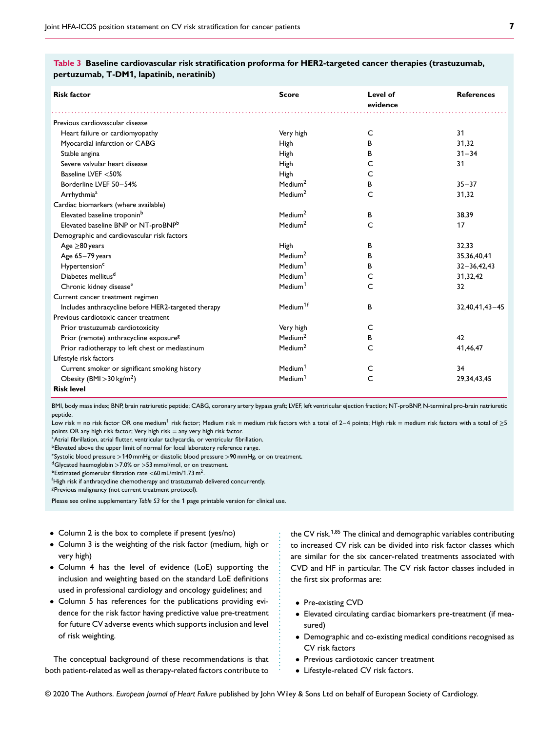| <b>Risk factor</b>                                  | <b>Score</b>         | Level of<br>evidence | <b>References</b> |
|-----------------------------------------------------|----------------------|----------------------|-------------------|
|                                                     |                      |                      |                   |
| Previous cardiovascular disease                     |                      |                      |                   |
| Heart failure or cardiomyopathy                     | Very high            | C                    | 31                |
| Myocardial infarction or CABG                       | High                 | в                    | 31.32             |
| Stable angina                                       | High                 | в                    | $31 - 34$         |
| Severe valvular heart disease                       | High                 | C                    | 31                |
| Baseline LVEF <50%                                  | High                 | C                    |                   |
| Borderline LVEF 50-54%                              | Medium <sup>2</sup>  | В                    | $35 - 37$         |
| Arrhythmia <sup>a</sup>                             | Medium <sup>2</sup>  | C                    | 31,32             |
| Cardiac biomarkers (where available)                |                      |                      |                   |
| Elevated baseline troponin <sup>b</sup>             | Medium $2$           | в                    | 38.39             |
| Elevated baseline BNP or NT-proBNPb                 | Medium <sup>2</sup>  | C                    | 17                |
| Demographic and cardiovascular risk factors         |                      |                      |                   |
| Age $\geq$ 80 years                                 | High                 | в                    | 32.33             |
| Age 65-79 years                                     | Medium $2$           | В                    | 35,36,40,41       |
| Hypertension <sup>c</sup>                           | Medium <sup>1</sup>  | В                    | $32 - 36,42,43$   |
| Diabetes mellitus <sup>d</sup>                      | Medium <sup>1</sup>  | C                    | 31,32,42          |
| Chronic kidney disease <sup>e</sup>                 | Medium <sup>1</sup>  | C                    | 32                |
| Current cancer treatment regimen                    |                      |                      |                   |
| Includes anthracycline before HER2-targeted therapy | Medium <sup>1f</sup> | B                    | 32,40,41,43-45    |
| Previous cardiotoxic cancer treatment               |                      |                      |                   |
| Prior trastuzumab cardiotoxicity                    | Very high            | C                    |                   |
| Prior (remote) anthracycline exposure <sup>g</sup>  | Medium $2$           | в                    | 42                |
| Prior radiotherapy to left chest or mediastinum     | Medium $2$           | C                    | 41, 46, 47        |
| Lifestyle risk factors                              |                      |                      |                   |
| Current smoker or significant smoking history       | Medium <sup>1</sup>  | C                    | 34                |
| Obesity (BMI $>$ 30 kg/m <sup>2</sup> )             | Medium <sup>1</sup>  | C                    | 29,34,43,45       |
| <b>Risk level</b>                                   |                      |                      |                   |

### **Table 3 Baseline cardiovascular risk stratification proforma for HER2-targeted cancer therapies (trastuzumab, pertuzumab, T-DM1, lapatinib, neratinib)**

BMI, body mass index; BNP, brain natriuretic peptide; CABG, coronary artery bypass graft; LVEF, left ventricular ejection fraction; NT-proBNP, N-terminal pro-brain natriuretic peptide.

Low risk = no risk factor OR one medium<sup>1</sup> risk factor; Medium risk = medium risk factors with a total of 2–4 points; High risk = medium risk factors with a total of  $\geq$ 5 points OR any high risk factor; Very high risk = any very high risk factor.

......................................

aAtrial fibrillation, atrial flutter, ventricular tachycardia, or ventricular fibrillation.

**bElevated above the upper limit of normal for local laboratory reference range.** 

cSystolic blood pressure *>*140 mmHg or diastolic blood pressure *>*90 mmHg, or on treatment.

dGlycated haemoglobin *>*7.0% or *>*53 mmol/mol, or on treatment.

eEstimated glomerular filtration rate *<*60 mL/min/1.73 m2.

f High risk if anthracycline chemotherapy and trastuzumab delivered concurrently.

<sup>g</sup>Previous malignancy (not current treatment protocol).

Please see online supplementary *Table S3* for the 1 page printable version for clinical use.

- Column 2 is the box to complete if present (yes/no)
- Column 3 is the weighting of the risk factor (medium, high or very high)
- Column 4 has the level of evidence (LoE) supporting the inclusion and weighting based on the standard LoE definitions used in professional cardiology and oncology guidelines; and
- Column 5 has references for the publications providing evidence for the risk factor having predictive value pre-treatment for future CV adverse events which supports inclusion and level of risk weighting.

The conceptual background of these recommendations is that both patient-related as well as therapy-related factors contribute to

the CV risk.<sup>1,85</sup> The clinical and demographic variables contributing to increased CV risk can be divided into risk factor classes which are similar for the six cancer-related treatments associated with CVD and HF in particular. The CV risk factor classes included in the first six proformas are:

- Pre-existing CVD
- Elevated circulating cardiac biomarkers pre-treatment (if measured)
- Demographic and co-existing medical conditions recognised as CV risk factors
- Previous cardiotoxic cancer treatment
- Lifestyle-related CV risk factors.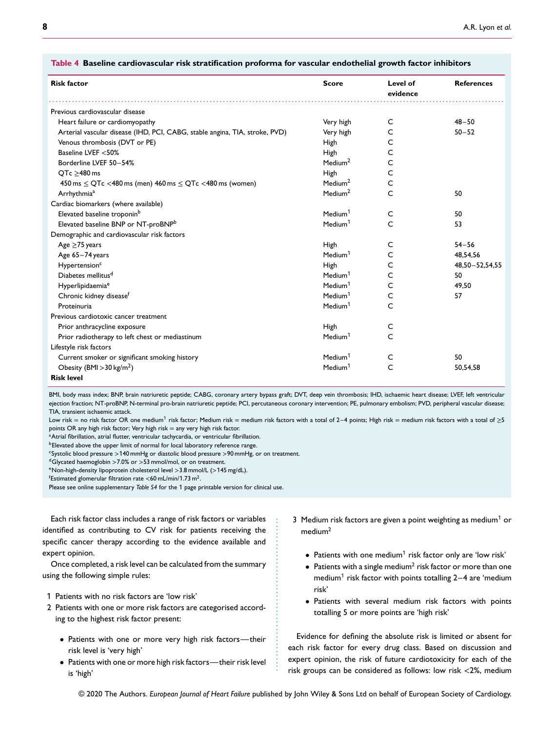| <b>Risk factor</b>                                                                                      | <b>Score</b>           | Level of<br>evidence | <b>References</b> |
|---------------------------------------------------------------------------------------------------------|------------------------|----------------------|-------------------|
| Previous cardiovascular disease                                                                         |                        |                      |                   |
| Heart failure or cardiomyopathy                                                                         | Very high              | C                    | $48 - 50$         |
| Arterial vascular disease (IHD, PCI, CABG, stable angina, TIA, stroke, PVD)                             | Very high              | C                    | $50 - 52$         |
| Venous thrombosis (DVT or PE)                                                                           | High                   | C                    |                   |
| Baseline LVEF <50%                                                                                      | High                   | C                    |                   |
| Borderline LVEF 50-54%                                                                                  | Medium <sup>2</sup>    | C                    |                   |
| $QTc \geq 480$ ms                                                                                       | High                   | C                    |                   |
| $450 \,\text{ms} \leq QTc < 480 \,\text{ms}$ (men) $460 \,\text{ms} \leq QTc < 480 \,\text{ms}$ (women) | Medium <sup>2</sup>    | C                    |                   |
| Arrhythmia <sup>a</sup>                                                                                 | $M$ edium <sup>2</sup> | $\mathsf{C}$         | 50                |
| Cardiac biomarkers (where available)                                                                    |                        |                      |                   |
| Elevated baseline troponinb                                                                             | Medium <sup>1</sup>    | C                    | 50                |
| Elevated baseline BNP or NT-proBNPb                                                                     | Medium <sup>1</sup>    | C                    | 53                |
| Demographic and cardiovascular risk factors                                                             |                        |                      |                   |
| Age $\geq$ 75 years                                                                                     | High                   | C                    | $54 - 56$         |
| Age 65-74 years                                                                                         | Medium <sup>1</sup>    | C                    | 48,54,56          |
| Hypertension <sup>c</sup>                                                                               | High                   | C                    | 48,50-52,54,55    |
| Diabetes mellitus <sup>d</sup>                                                                          | Medium <sup>1</sup>    | C                    | 50                |
| Hyperlipidaemia <sup>e</sup>                                                                            | Medium <sup>1</sup>    | C                    | 49,50             |
| Chronic kidney diseasef                                                                                 | Medium <sup>1</sup>    | C                    | 57                |
| Proteinuria                                                                                             | Medium <sup>1</sup>    | C                    |                   |
| Previous cardiotoxic cancer treatment                                                                   |                        |                      |                   |
| Prior anthracycline exposure                                                                            | High                   | С                    |                   |
| Prior radiotherapy to left chest or mediastinum                                                         | Medium <sup>1</sup>    | C                    |                   |
| Lifestyle risk factors                                                                                  |                        |                      |                   |
| Current smoker or significant smoking history                                                           | Medium <sup>1</sup>    | C                    | 50                |
| Obesity (BMI $>$ 30 kg/m <sup>2</sup> )                                                                 | Medium <sup>1</sup>    | C                    | 50,54,58          |
| <b>Risk level</b>                                                                                       |                        |                      |                   |

#### **Table 4 Baseline cardiovascular risk stratification proforma for vascular endothelial growth factor inhibitors**

BMI, body mass index; BNP, brain natriuretic peptide; CABG, coronary artery bypass graft; DVT, deep vein thrombosis; IHD, ischaemic heart disease; LVEF, left ventricular ejection fraction; NT-proBNP, N-terminal pro-brain natriuretic peptide; PCI, percutaneous coronary intervention; PE, pulmonary embolism; PVD, peripheral vascular disease; TIA, transient ischaemic attack.

Low risk = no risk factor OR one medium<sup>1</sup> risk factor; Medium risk = medium risk factors with a total of 2–4 points; High risk = medium risk factors with a total of  $\geq$ 5 points OR any high risk factor; Very high risk = any very high risk factor.

..........................................

aAtrial fibrillation, atrial flutter, ventricular tachycardia, or ventricular fibrillation.

**bElevated above the upper limit of normal for local laboratory reference range.** 

cSystolic blood pressure *>*140 mmHg or diastolic blood pressure *>*90 mmHg, or on treatment.

dGlycated haemoglobin *>*7.0% or *>*53 mmol/mol, or on treatment.

eNon-high-density lipoprotein cholesterol level *>*3.8 mmol/L (*>*145 mg/dL).

f Estimated glomerular filtration rate *<*60 mL/min/1.73 m2.

Please see online supplementary *Table S4* for the 1 page printable version for clinical use.

Each risk factor class includes a range of risk factors or variables identified as contributing to CV risk for patients receiving the specific cancer therapy according to the evidence available and expert opinion.

Once completed, a risk level can be calculated from the summary using the following simple rules:

- 1 Patients with no risk factors are 'low risk'
- 2 Patients with one or more risk factors are categorised according to the highest risk factor present:
	- Patients with one or more very high risk factors— their risk level is 'very high'
	- Patients with one or more high risk factors— their risk level is 'high'
- 3 Medium risk factors are given a point weighting as medium<sup>1</sup> or medium2
	- Patients with one medium<sup>1</sup> risk factor only are 'low risk'
	- $\bullet$  Patients with a single medium<sup>2</sup> risk factor or more than one medium<sup>1</sup> risk factor with points totalling  $2-4$  are 'medium risk'
	- Patients with several medium risk factors with points totalling 5 or more points are 'high risk'

Evidence for defining the absolute risk is limited or absent for each risk factor for every drug class. Based on discussion and expert opinion, the risk of future cardiotoxicity for each of the risk groups can be considered as follows: low risk *<*2%, medium

© 2020 The Authors. *European Journal of Heart Failure* published by John Wiley & Sons Ltd on behalf of European Society of Cardiology.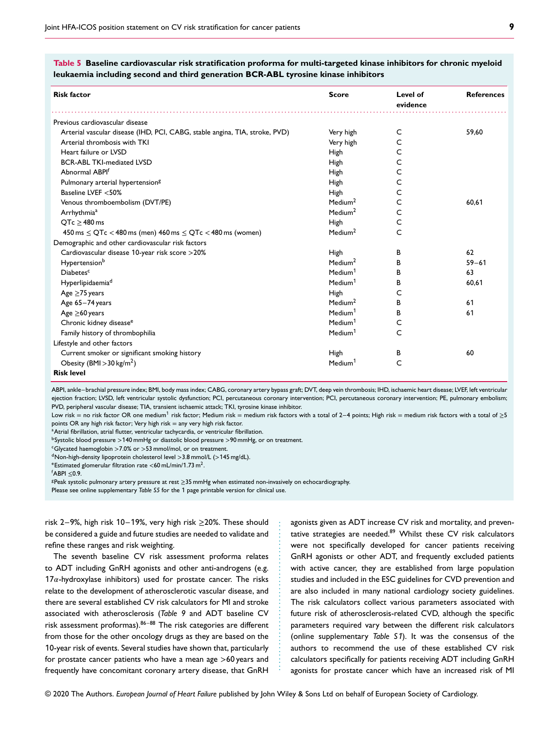| <b>Risk factor</b>                                                                                              | <b>Score</b>        | Level of<br>evidence | <b>References</b> |
|-----------------------------------------------------------------------------------------------------------------|---------------------|----------------------|-------------------|
| Previous cardiovascular disease                                                                                 |                     |                      |                   |
| Arterial vascular disease (IHD, PCI, CABG, stable angina, TIA, stroke, PVD)                                     | Very high           | C                    | 59,60             |
| Arterial thrombosis with TKI                                                                                    | Very high           | C                    |                   |
| Heart failure or LVSD                                                                                           | High                | C                    |                   |
| <b>BCR-ABL TKI-mediated LVSD</b>                                                                                | High                | C                    |                   |
| Abnormal ABPI <sup>f</sup>                                                                                      | High                | C                    |                   |
| Pulmonary arterial hypertension <sup>g</sup>                                                                    | High                | C                    |                   |
| Baseline LVEF <50%                                                                                              | High                | C                    |                   |
| Venous thromboembolism (DVT/PE)                                                                                 | Medium <sup>2</sup> | C                    | 60,61             |
| Arrhythmia <sup>a</sup>                                                                                         | Medium <sup>2</sup> | C                    |                   |
| $QTc \geq 480$ ms                                                                                               | High                | C                    |                   |
| $450 \text{ ms} \le \text{QTc} < 480 \text{ ms}$ (men) $460 \text{ ms} \le \text{QTc} < 480 \text{ ms}$ (women) | Medium <sup>2</sup> | C                    |                   |
| Demographic and other cardiovascular risk factors                                                               |                     |                      |                   |
| Cardiovascular disease 10-year risk score > 20%                                                                 | High                | В                    | 62                |
| Hypertension <sup>b</sup>                                                                                       | Medium <sup>2</sup> | В                    | $59 - 61$         |
| Diabetes <sup>c</sup>                                                                                           | Medium <sup>1</sup> | в                    | 63                |
| Hyperlipidaemia <sup>d</sup>                                                                                    | Medium <sup>1</sup> | В                    | 60,61             |
| Age $\geq$ 75 years                                                                                             | High                | C                    |                   |
| Age 65-74 years                                                                                                 | Medium $2$          | В                    | 61                |
| Age $\geq$ 60 years                                                                                             | Medium <sup>1</sup> | В                    | 61                |
| Chronic kidney disease <sup>e</sup>                                                                             | Medium <sup>1</sup> | C                    |                   |
| Family history of thrombophilia                                                                                 | Medium <sup>1</sup> | C                    |                   |
| Lifestyle and other factors                                                                                     |                     |                      |                   |
| Current smoker or significant smoking history                                                                   | High                | В                    | 60                |
| Obesity (BMI $>$ 30 kg/m <sup>2</sup> )                                                                         | Medium <sup>1</sup> | C                    |                   |
| <b>Risk level</b>                                                                                               |                     |                      |                   |

### **Table 5 Baseline cardiovascular risk stratification proforma for multi-targeted kinase inhibitors for chronic myeloid leukaemia including second and third generation BCR-ABL tyrosine kinase inhibitors**

ABPI, ankle–brachial pressure index; BMI, body mass index; CABG, coronary artery bypass graft; DVT, deep vein thrombosis; IHD, ischaemic heart disease; LVEF, left ventricular ejection fraction; LVSD, left ventricular systolic dysfunction; PCI, percutaneous coronary intervention; PCI, percutaneous coronary intervention; PE, pulmonary embolism; PVD, peripheral vascular disease; TIA, transient ischaemic attack; TKI, tyrosine kinase inhibitor.

Low risk = no risk factor OR one medium<sup>1</sup> risk factor; Medium risk = medium risk factors with a total of 2–4 points; High risk = medium risk factors with a total of >5 points OR any high risk factor; Very high risk = any very high risk factor.

.........................................

a Atrial fibrillation, atrial flutter, ventricular tachycardia, or ventricular fibrillation.

bSystolic blood pressure *>*140 mmHg or diastolic blood pressure *>*90 mmHg, or on treatment.

cGlycated haemoglobin *>*7.0% or *>*53 mmol/mol, or on treatment.

dNon-high-density lipoprotein cholesterol level *>*3.8 mmol/L (*>*145 mg/dL).

eEstimated glomerular filtration rate *<*60 mL/min/1.73 m2.

 $^{\mathsf{f}}$ ABPI  $\leq$ 0.9.

gPeak systolic pulmonary artery pressure at rest ≥35 mmHg when estimated non-invasively on echocardiography.

Please see online supplementary *Table S5* for the 1 page printable version for clinical use.

risk 2–9%, high risk 10–19%, very high risk ≥20%. These should be considered a guide and future studies are needed to validate and refine these ranges and risk weighting.

The seventh baseline CV risk assessment proforma relates to ADT including GnRH agonists and other anti-androgens (e.g.  $17\alpha$ -hydroxylase inhibitors) used for prostate cancer. The risks relate to the development of atherosclerotic vascular disease, and there are several established CV risk calculators for MI and stroke associated with atherosclerosis (*Table 9* and ADT baseline CV risk assessment proformas).86–88 The risk categories are different from those for the other oncology drugs as they are based on the 10-year risk of events. Several studies have shown that, particularly for prostate cancer patients who have a mean age *>*60 years and frequently have concomitant coronary artery disease, that GnRH

agonists given as ADT increase CV risk and mortality, and preventative strategies are needed.<sup>89</sup> Whilst these CV risk calculators were not specifically developed for cancer patients receiving GnRH agonists or other ADT, and frequently excluded patients with active cancer, they are established from large population studies and included in the ESC guidelines for CVD prevention and are also included in many national cardiology society guidelines. The risk calculators collect various parameters associated with future risk of atherosclerosis-related CVD, although the specific parameters required vary between the different risk calculators (online supplementary *Table S*1). It was the consensus of the authors to recommend the use of these established CV risk calculators specifically for patients receiving ADT including GnRH agonists for prostate cancer which have an increased risk of MI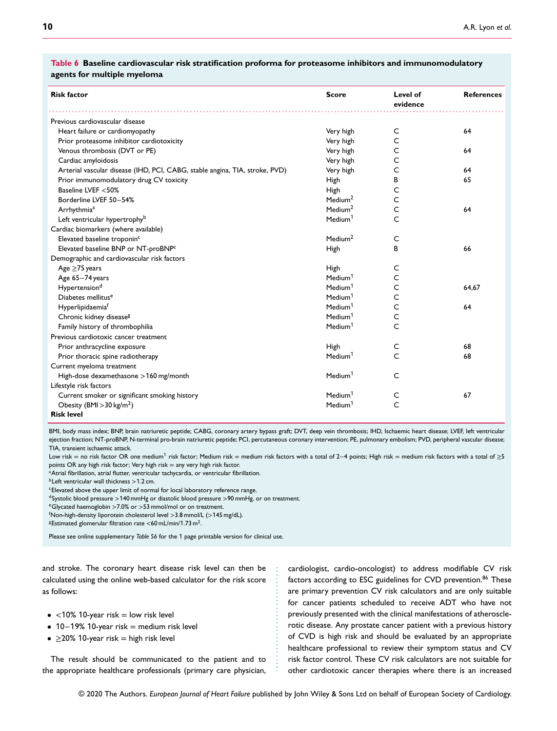| <b>Risk factor</b>                                                          | <b>Score</b>        | Level of<br>evidence | <b>References</b> |
|-----------------------------------------------------------------------------|---------------------|----------------------|-------------------|
|                                                                             |                     |                      |                   |
| Previous cardiovascular disease                                             |                     |                      |                   |
| Heart failure or cardiomyopathy                                             | Very high           | C                    | 64                |
| Prior proteasome inhibitor cardiotoxicity                                   | Very high           | C                    |                   |
| Venous thrombosis (DVT or PE)                                               | Very high           | C                    | 64                |
| Cardiac amyloidosis                                                         | Very high           | C                    |                   |
| Arterial vascular disease (IHD, PCI, CABG, stable angina, TIA, stroke, PVD) | Very high           | C                    | 64                |
| Prior immunomodulatory drug CV toxicity                                     | High                | в                    | 65                |
| Baseline LVEF <50%                                                          | High                | C                    |                   |
| Borderline LVEF 50-54%                                                      | Medium $2$          | C                    |                   |
| Arrhythmia <sup>a</sup>                                                     | Medium <sup>2</sup> | C                    | 64                |
| Left ventricular hypertrophyb                                               | Medium <sup>1</sup> | C                    |                   |
| Cardiac biomarkers (where available)                                        |                     |                      |                   |
| Elevated baseline troponin <sup>c</sup>                                     | Medium <sup>2</sup> | C                    |                   |
| Elevated baseline BNP or NT-proBNPc                                         | High                | B                    | 66                |
| Demographic and cardiovascular risk factors                                 |                     |                      |                   |
| Age $\geq$ 75 years                                                         | High                | C                    |                   |
| Age 65-74 years                                                             | Medium <sup>1</sup> | C                    |                   |
| Hypertension <sup>d</sup>                                                   | Medium <sup>1</sup> | C                    | 64,67             |
| Diabetes mellitus <sup>e</sup>                                              | Medium <sup>1</sup> | C                    |                   |
| Hyperlipidaemia <sup>t</sup>                                                | Medium <sup>1</sup> | C                    | 64                |
| Chronic kidney disease <sup>g</sup>                                         | Medium <sup>1</sup> | C                    |                   |
| Family history of thrombophilia                                             | Medium <sup>1</sup> | C                    |                   |
| Previous cardiotoxic cancer treatment                                       |                     |                      |                   |
| Prior anthracycline exposure                                                | High                | C                    | 68                |
| Prior thoracic spine radiotherapy                                           | Medium <sup>1</sup> | C                    | 68                |
| Current myeloma treatment                                                   |                     |                      |                   |
| High-dose dexamethasone > 160 mg/month                                      | Medium <sup>1</sup> | C                    |                   |
| Lifestyle risk factors                                                      |                     |                      |                   |
| Current smoker or significant smoking history                               | Medium <sup>1</sup> | C                    | 67                |
| Obesity (BMI $>$ 30 kg/m <sup>2</sup> )                                     | Medium <sup>1</sup> | C                    |                   |
| <b>Risk level</b>                                                           |                     |                      |                   |

#### **Table 6 Baseline cardiovascular risk stratification proforma for proteasome inhibitors and immunomodulatory agents for multiple myeloma**

BMI, body mass index; BNP, brain natriuretic peptide; CABG, coronary artery bypass graft; DVT, deep vein thrombosis; IHD, Ischaemic heart disease; LVEF, left ventricular ejection fraction; NT-proBNP, N-terminal pro-brain natriuretic peptide; PCI, percutaneous coronary intervention; PE, pulmonary embolism; PVD, peripheral vascular disease; TIA, transient ischaemic attack.

Low risk = no risk factor OR one medium<sup>1</sup> risk factor; Medium risk = medium risk factors with a total of 2–4 points; High risk = medium risk factors with a total of  $\geq$ 5 points OR any high risk factor; Very high risk = any very high risk factor.

.............................

a<br>Atrial fibrillation, atrial flutter, ventricular tachycardia, or ventricular fibrillation.

bLeft ventricular wall thickness *>*1.2 cm.

cElevated above the upper limit of normal for local laboratory reference range.

dSystolic blood pressure *>*140 mmHg or diastolic blood pressure *>*90 mmHg, or on treatment.

eGlycated haemoglobin *>*7.0% or *>*53 mmol/mol or on treatment.

f Non-high-density liporotein cholesterol level *>*3.8 mmol/L (*>*145 mg/dL).

gEstimated glomerular filtration rate *<*60 mL/min/1.73 m2.

Please see online supplementary *Table S6* for the 1 page printable version for clinical use.

and stroke. The coronary heart disease risk level can then be calculated using the online web-based calculator for the risk score as follows:

- <10% 10-year risk = low risk level
- 10–19% 10-year risk = medium risk level
- $\geq$  20% 10-year risk = high risk level

The result should be communicated to the patient and to the appropriate healthcare professionals (primary care physician, cardiologist, cardio-oncologist) to address modifiable CV risk factors according to ESC guidelines for CVD prevention.<sup>86</sup> These are primary prevention CV risk calculators and are only suitable for cancer patients scheduled to receive ADT who have not previously presented with the clinical manifestations of atherosclerotic disease. Any prostate cancer patient with a previous history of CVD is high risk and should be evaluated by an appropriate healthcare professional to review their symptom status and CV risk factor control. These CV risk calculators are not suitable for other cardiotoxic cancer therapies where there is an increased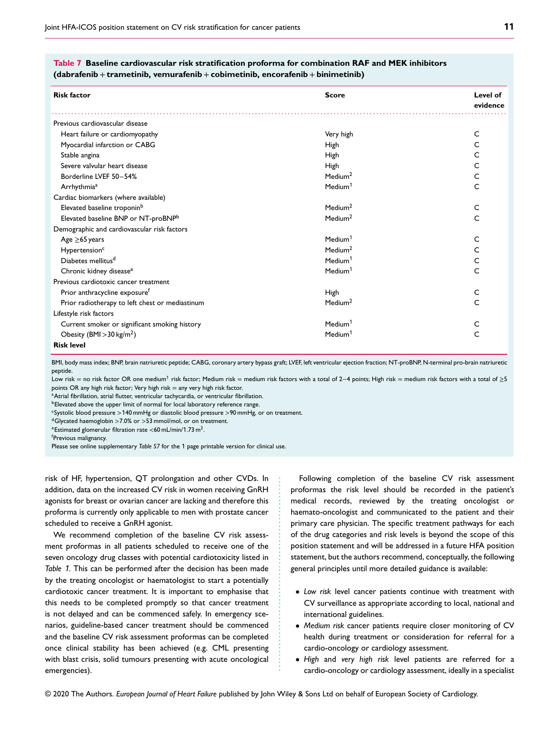| <b>Risk factor</b>                              | <b>Score</b>           | Level of |
|-------------------------------------------------|------------------------|----------|
|                                                 |                        | evidence |
| Previous cardiovascular disease                 |                        |          |
| Heart failure or cardiomyopathy                 | Very high              | C        |
| Myocardial infarction or CABG                   | High                   | C        |
| Stable angina                                   | High                   | C        |
| Severe valvular heart disease                   | High                   | C        |
| Borderline LVEF 50-54%                          | Medium $2$             | C        |
| Arrhythmia <sup>a</sup>                         | Medium <sup>1</sup>    | C        |
| Cardiac biomarkers (where available)            |                        |          |
| Elevated baseline troponinb                     | $M$ edium <sup>2</sup> | C        |
| Elevated baseline BNP or NT-proBNPb             | Medium <sup>2</sup>    | C        |
| Demographic and cardiovascular risk factors     |                        |          |
| Age $\geq$ 65 years                             | Medium <sup>1</sup>    | C        |
| Hypertension <sup>c</sup>                       | Medium <sup>2</sup>    | C        |
| Diabetes mellitus <sup>d</sup>                  | Medium <sup>1</sup>    | C        |
| Chronic kidney disease <sup>e</sup>             | Medium <sup>1</sup>    | C        |
| Previous cardiotoxic cancer treatment           |                        |          |
| Prior anthracycline exposure <sup>t</sup>       | High                   | C        |
| Prior radiotherapy to left chest or mediastinum | Medium <sup>2</sup>    | C        |
| Lifestyle risk factors                          |                        |          |
| Current smoker or significant smoking history   | Medium <sup>1</sup>    | C        |
| Obesity (BMI $>$ 30 kg/m <sup>2</sup> )         | Medium <sup>1</sup>    | C        |
| <b>Risk level</b>                               |                        |          |

### **Table 7 Baseline cardiovascular risk stratification proforma for combination RAF and MEK inhibitors (dabrafenib**+**trametinib, vemurafenib**+**cobimetinib, encorafenib**+**binimetinib)**

BMI, body mass index; BNP, brain natriuretic peptide; CABG, coronary artery bypass graft; LVEF, left ventricular ejection fraction; NT-proBNP, N-terminal pro-brain natriuretic peptide.

Low risk = no risk factor OR one medium<sup>1</sup> risk factor; Medium risk = medium risk factors with a total of 2–4 points; High risk = medium risk factors with a total of  $\geq$ 5 points OR any high risk factor; Very high risk = any very high risk factor.

.....................................................

a Atrial fibrillation, atrial flutter, ventricular tachycardia, or ventricular fibrillation.

**bElevated above the upper limit of normal for local laboratory reference range.** 

cSystolic blood pressure *>*140 mmHg or diastolic blood pressure *>*90 mmHg, or on treatment.

dGlycated haemoglobin *>*7.0% or *>*53 mmol/mol, or on treatment.

eEstimated glomerular filtration rate *<*60 mL/min/1.73 m2.

f Previous malignancy.

Please see online supplementary *Table S7* for the 1 page printable version for clinical use.

risk of HF, hypertension, QT prolongation and other CVDs. In addition, data on the increased CV risk in women receiving GnRH agonists for breast or ovarian cancer are lacking and therefore this proforma is currently only applicable to men with prostate cancer scheduled to receive a GnRH agonist.

We recommend completion of the baseline CV risk assessment proformas in all patients scheduled to receive one of the seven oncology drug classes with potential cardiotoxicity listed in *Table* 1. This can be performed after the decision has been made by the treating oncologist or haematologist to start a potentially cardiotoxic cancer treatment. It is important to emphasise that this needs to be completed promptly so that cancer treatment is not delayed and can be commenced safely. In emergency scenarios, guideline-based cancer treatment should be commenced and the baseline CV risk assessment proformas can be completed once clinical stability has been achieved (e.g. CML presenting with blast crisis, solid tumours presenting with acute oncological emergencies).

Following completion of the baseline CV risk assessment proformas the risk level should be recorded in the patient's medical records, reviewed by the treating oncologist or haemato-oncologist and communicated to the patient and their primary care physician. The specific treatment pathways for each of the drug categories and risk levels is beyond the scope of this position statement and will be addressed in a future HFA position statement, but the authors recommend, conceptually, the following general principles until more detailed guidance is available:

- *Low risk* level cancer patients continue with treatment with CV surveillance as appropriate according to local, national and international guidelines.
- *Medium risk* cancer patients require closer monitoring of CV health during treatment or consideration for referral for a cardio-oncology or cardiology assessment.
- *High* and *very high risk* level patients are referred for a cardio-oncology or cardiology assessment, ideally in a specialist

© 2020 The Authors. *European Journal of Heart Failure* published by John Wiley & Sons Ltd on behalf of European Society of Cardiology.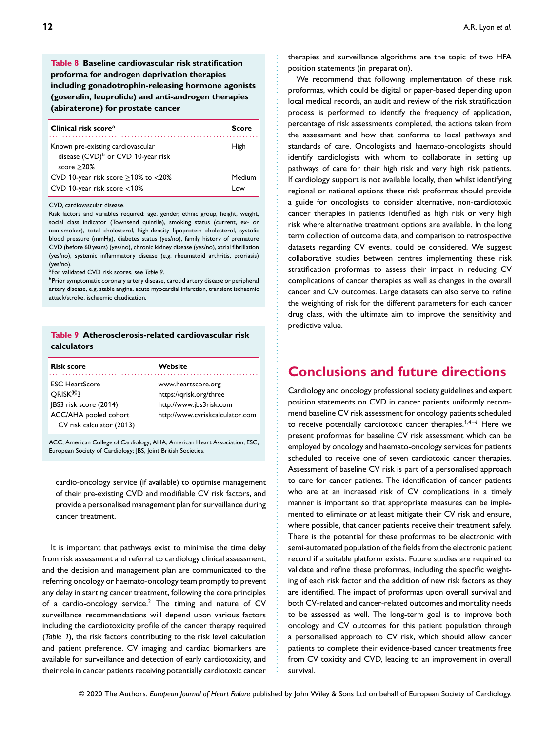**Table 8 Baseline cardiovascular risk stratification proforma for androgen deprivation therapies including gonadotrophin-releasing hormone agonists (goserelin, leuprolide) and anti-androgen therapies (abiraterone) for prostate cancer**

| Clinical risk score <sup>a</sup>                                                                     | Score          |
|------------------------------------------------------------------------------------------------------|----------------|
| Known pre-existing cardiovascular<br>disease (CVD) <sup>b</sup> or CVD 10-year risk<br>score $>20\%$ | High           |
| CVD 10-year risk score $\geq$ 10% to <20%<br>CVD 10-year risk score $<$ 10%                          | Medium<br>l ow |

#### CVD, cardiovascular disease.

Risk factors and variables required: age, gender, ethnic group, height, weight, social class indicator (Townsend quintile), smoking status (current, ex- or non-smoker), total cholesterol, high-density lipoprotein cholesterol, systolic blood pressure (mmHg), diabetes status (yes/no), family history of premature CVD (before 60 years) (yes/no), chronic kidney disease (yes/no), atrial fibrillation (yes/no), systemic inflammatory disease (e.g. rheumatoid arthritis, psoriasis) (yes/no).

aFor validated CVD risk scores, see *Table 9*.

bPrior symptomatic coronary artery disease, carotid artery disease or peripheral artery disease, e.g. stable angina, acute myocardial infarction, transient ischaemic attack/stroke, ischaemic claudication.

## **Table 9 Atherosclerosis-related cardiovascular risk calculators**

| <b>Risk score</b>                                                                                                             | Website                                                                                                     |
|-------------------------------------------------------------------------------------------------------------------------------|-------------------------------------------------------------------------------------------------------------|
| <b>ESC HeartScore</b><br>ORISK <sup>®</sup> 3<br>JBS3 risk score (2014)<br>ACC/AHA pooled cohort<br>CV risk calculator (2013) | www.heartscore.org<br>https://grisk.org/three<br>http://www.jbs3risk.com<br>http://www.cvriskcalculator.com |

ACC, American College of Cardiology; AHA, American Heart Association; ESC, European Society of Cardiology; JBS, Joint British Societies.

cardio-oncology service (if available) to optimise management of their pre-existing CVD and modifiable CV risk factors, and provide a personalised management plan for surveillance during cancer treatment.

It is important that pathways exist to minimise the time delay from risk assessment and referral to cardiology clinical assessment, and the decision and management plan are communicated to the referring oncology or haemato-oncology team promptly to prevent any delay in starting cancer treatment, following the core principles of a cardio-oncology service.<sup>2</sup> The timing and nature of CV surveillance recommendations will depend upon various factors including the cardiotoxicity profile of the cancer therapy required (*Table* 1), the risk factors contributing to the risk level calculation and patient preference. CV imaging and cardiac biomarkers are available for surveillance and detection of early cardiotoxicity, and their role in cancer patients receiving potentially cardiotoxic cancer therapies and surveillance algorithms are the topic of two HFA position statements (in preparation).

We recommend that following implementation of these risk proformas, which could be digital or paper-based depending upon local medical records, an audit and review of the risk stratification process is performed to identify the frequency of application, percentage of risk assessments completed, the actions taken from the assessment and how that conforms to local pathways and standards of care. Oncologists and haemato-oncologists should identify cardiologists with whom to collaborate in setting up pathways of care for their high risk and very high risk patients. If cardiology support is not available locally, then whilst identifying regional or national options these risk proformas should provide a guide for oncologists to consider alternative, non-cardiotoxic cancer therapies in patients identified as high risk or very high risk where alternative treatment options are available. In the long term collection of outcome data, and comparison to retrospective datasets regarding CV events, could be considered. We suggest collaborative studies between centres implementing these risk stratification proformas to assess their impact in reducing CV complications of cancer therapies as well as changes in the overall cancer and CV outcomes. Large datasets can also serve to refine the weighting of risk for the different parameters for each cancer drug class, with the ultimate aim to improve the sensitivity and predictive value.

## **Conclusions and future directions**

Cardiology and oncology professional society guidelines and expert position statements on CVD in cancer patients uniformly recommend baseline CV risk assessment for oncology patients scheduled to receive potentially cardiotoxic cancer therapies.<sup>1,4–6</sup> Here we present proformas for baseline CV risk assessment which can be employed by oncology and haemato-oncology services for patients scheduled to receive one of seven cardiotoxic cancer therapies. Assessment of baseline CV risk is part of a personalised approach to care for cancer patients. The identification of cancer patients who are at an increased risk of CV complications in a timely manner is important so that appropriate measures can be implemented to eliminate or at least mitigate their CV risk and ensure, where possible, that cancer patients receive their treatment safely. There is the potential for these proformas to be electronic with semi-automated population of the fields from the electronic patient record if a suitable platform exists. Future studies are required to validate and refine these proformas, including the specific weighting of each risk factor and the addition of new risk factors as they are identified. The impact of proformas upon overall survival and both CV-related and cancer-related outcomes and mortality needs to be assessed as well. The long-term goal is to improve both oncology and CV outcomes for this patient population through a personalised approach to CV risk, which should allow cancer patients to complete their evidence-based cancer treatments free from CV toxicity and CVD, leading to an improvement in overall survival.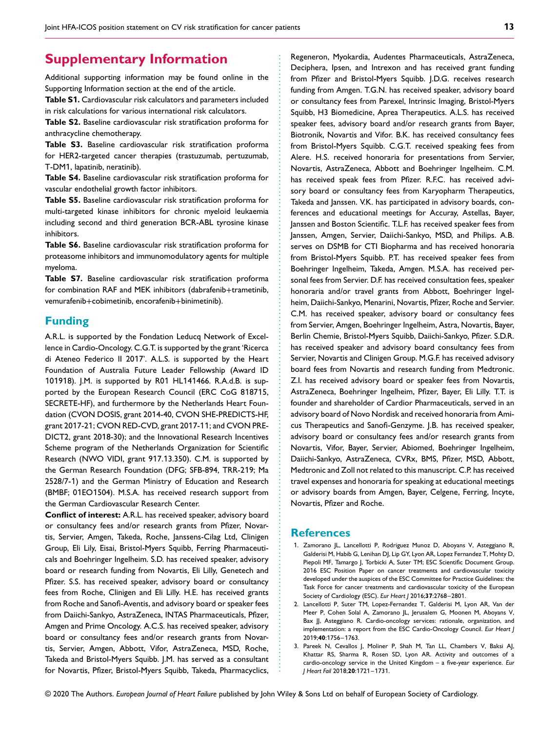## **Supplementary Information**

Additional supporting information may be found online in the Supporting Information section at the end of the article.

**Table S1.** Cardiovascular risk calculators and parameters included in risk calculations for various international risk calculators.

**Table S2.** Baseline cardiovascular risk stratification proforma for anthracycline chemotherapy.

**Table S3.** Baseline cardiovascular risk stratification proforma for HER2-targeted cancer therapies (trastuzumab, pertuzumab, T-DM1, lapatinib, neratinib).

**Table S4.** Baseline cardiovascular risk stratification proforma for vascular endothelial growth factor inhibitors.

**Table S5.** Baseline cardiovascular risk stratification proforma for multi-targeted kinase inhibitors for chronic myeloid leukaemia including second and third generation BCR-ABL tyrosine kinase inhibitors.

**Table S6.** Baseline cardiovascular risk stratification proforma for proteasome inhibitors and immunomodulatory agents for multiple myeloma.

**Table S7.** Baseline cardiovascular risk stratification proforma for combination RAF and MEK inhibitors (dabrafenib+trametinib, vemurafenib+cobimetinib, encorafenib+binimetinib).

## **Funding**

A.R.L. is supported by the Fondation Leducq Network of Excellence in Cardio-Oncology. C.G.T. is supported by the grant 'Ricerca di Ateneo Federico II 2017'. A.L.S. is supported by the Heart Foundation of Australia Future Leader Fellowship (Award ID 101918). J.M. is supported by R01 HL141466. R.A.d.B. is supported by the European Research Council (ERC CoG 818715, SECRETE-HF), and furthermore by the Netherlands Heart Foundation (CVON DOSIS, grant 2014-40, CVON SHE-PREDICTS-HF, grant 2017-21; CVON RED-CVD, grant 2017-11; and CVON PRE-DICT2, grant 2018-30); and the Innovational Research Incentives Scheme program of the Netherlands Organization for Scientific Research (NWO VIDI, grant 917.13.350). C.M. is supported by the German Research Foundation (DFG; SFB-894, TRR-219; Ma 2528/7-1) and the German Ministry of Education and Research (BMBF; 01EO1504). M.S.A. has received research support from the German Cardiovascular Research Center.

**Conflict of interest:** A.R.L. has received speaker, advisory board or consultancy fees and/or research grants from Pfizer, Novartis, Servier, Amgen, Takeda, Roche, Janssens-Cilag Ltd, Clinigen Group, Eli Lily, Eisai, Bristol-Myers Squibb, Ferring Pharmaceuticals and Boehringer Ingelheim. S.D. has received speaker, advisory board or research funding from Novartis, Eli Lilly, Genetech and Pfizer. S.S. has received speaker, advisory board or consultancy fees from Roche, Clinigen and Eli Lilly. H.E. has received grants from Roche and Sanofi-Aventis, and advisory board or speaker fees from Daiichi-Sankyo, AstraZeneca, INTAS Pharmaceuticals, Pfizer, Amgen and Prime Oncology. A.C.S. has received speaker, advisory board or consultancy fees and/or research grants from Novartis, Servier, Amgen, Abbott, Vifor, AstraZeneca, MSD, Roche, Takeda and Bristol-Myers Squibb. J.M. has served as a consultant for Novartis, Pfizer, Bristol-Myers Squibb, Takeda, Pharmacyclics,

Regeneron, Myokardia, Audentes Pharmaceuticals, AstraZeneca, Deciphera, Ipsen, and Intrexon and has received grant funding from Pfizer and Bristol-Myers Squibb. J.D.G. receives research funding from Amgen. T.G.N. has received speaker, advisory board or consultancy fees from Parexel, Intrinsic Imaging, Bristol-Myers Squibb, H3 Biomedicine, Aprea Therapeutics. A.L.S. has received speaker fees, advisory board and/or research grants from Bayer, Biotronik, Novartis and Vifor. B.K. has received consultancy fees from Bristol-Myers Squibb. C.G.T. received speaking fees from Alere. H.S. received honoraria for presentations from Servier, Novartis, AstraZeneca, Abbott and Boehringer Ingelheim. C.M. has received speak fees from Pfizer. R.F.C. has received advisory board or consultancy fees from Karyopharm Therapeutics, Takeda and Janssen. V.K. has participated in advisory boards, conferences and educational meetings for Accuray, Astellas, Bayer, Janssen and Boston Scientific. T.L.F. has received speaker fees from Janssen, Amgen, Servier, Daiichi-Sankyo, MSD, and Philips. A.B. serves on DSMB for CTI Biopharma and has received honoraria from Bristol-Myers Squibb. P.T. has received speaker fees from Boehringer Ingelheim, Takeda, Amgen. M.S.A. has received personal fees from Servier. D.F. has received consultation fees, speaker honoraria and/or travel grants from Abbott, Boehringer Ingelheim, Daiichi-Sankyo, Menarini, Novartis, Pfizer, Roche and Servier. C.M. has received speaker, advisory board or consultancy fees from Servier, Amgen, Boehringer Ingelheim, Astra, Novartis, Bayer, Berlin Chemie, Bristol-Myers Squibb, Daiichi-Sankyo, Pfizer. S.D.R. has received speaker and advisory board consultancy fees from Servier, Novartis and Clinigen Group. M.G.F. has received advisory board fees from Novartis and research funding from Medtronic. Z.I. has received advisory board or speaker fees from Novartis, AstraZeneca, Boehringer Ingelheim, Pfizer, Bayer, Eli Lilly. T.T. is founder and shareholder of Cardior Pharmaceuticals, served in an advisory board of Novo Nordisk and received honoraria from Amicus Therapeutics and Sanofi-Genzyme. J.B. has received speaker, advisory board or consultancy fees and/or research grants from Novartis, Vifor, Bayer, Servier, Abiomed, Boehringer Ingelheim, Daiichi-Sankyo, AstraZeneca, CVRx, BMS, Pfizer, MSD, Abbott, Medtronic and Zoll not related to this manuscript. C.P. has received travel expenses and honoraria for speaking at educational meetings or advisory boards from Amgen, Bayer, Celgene, Ferring, Incyte, Novartis, Pfizer and Roche.

## **References**

- 1. Zamorano JL, Lancellotti P, Rodriguez Munoz D, Aboyans V, Asteggiano R, Galderisi M, Habib G, Lenihan DJ, Lip GY, Lyon AR, Lopez Fernandez T, Mohty D, Piepoli MF, Tamargo J, Torbicki A, Suter TM; ESC Scientific Document Group. 2016 ESC Position Paper on cancer treatments and cardiovascular toxicity developed under the auspices of the ESC Committee for Practice Guidelines: the Task Force for cancer treatments and cardiovascular toxicity of the European Society of Cardiology (ESC). *Eur Heart J* 2016;**37**:2768–2801.
- 2. Lancellotti P, Suter TM, Lopez-Fernandez T, Galderisi M, Lyon AR, Van der Meer P, Cohen Solal A, Zamorano JL, Jerusalem G, Moonen M, Aboyans V, Bax JJ, Asteggiano R. Cardio-oncology services: rationale, organization, and implementation: a report from the ESC Cardio-Oncology Council. *Eur Heart J* 2019;**40**:1756–1763.
- 3. Pareek N, Cevallos J, Moliner P, Shah M, Tan LL, Chambers V, Baksi AJ, Khattar RS, Sharma R, Rosen SD, Lyon AR. Activity and outcomes of a cardio-oncology service in the United Kingdom – a five-year experience. *Eur J Heart Fail* 2018;**20**:1721–1731.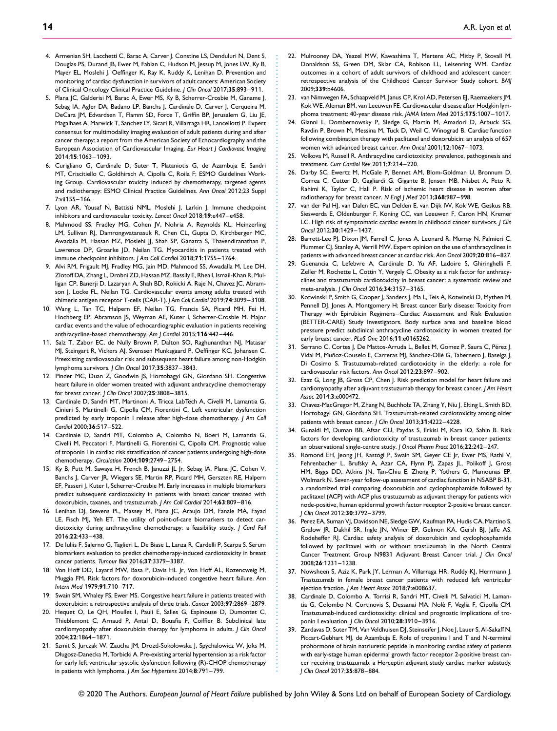- 4. Armenian SH, Lacchetti C, Barac A, Carver J, Constine LS, Denduluri N, Dent S, Douglas PS, Durand JB, Ewer M, Fabian C, Hudson M, Jessup M, Jones LW, Ky B, Mayer EL, Moslehi J, Oeffinger K, Ray K, Ruddy K, Lenihan D. Prevention and monitoring of cardiac dysfunction in survivors of adult cancers: American Society of Clinical Oncology Clinical Practice Guideline. *J Clin Oncol* 2017;**35**:893–911.
- 5. Plana JC, Galderisi M, Barac A, Ewer MS, Ky B, Scherrer-Crosbie M, Ganame J, Sebag IA, Agler DA, Badano LP, Banchs J, Cardinale D, Carver J, Cerqueira M, DeCara JM, Edvardsen T, Flamm SD, Force T, Griffin BP, Jerusalem G, Liu JE, Magalhaes A, Marwick T, Sanchez LY, Sicari R, Villarraga HR, Lancellotti P. Expert consensus for multimodality imaging evaluation of adult patients during and after cancer therapy: a report from the American Society of Echocardiography and the European Association of Cardiovascular Imaging. *Eur Heart J Cardiovasc Imaging* 2014;**15**:1063–1093.
- 6. Curigliano G, Cardinale D, Suter T, Plataniotis G, de Azambuja E, Sandri MT, Criscitiello C, Goldhirsch A, Cipolla C, Roila F; ESMO Guidelines Working Group. Cardiovascular toxicity induced by chemotherapy, targeted agents and radiotherapy: ESMO Clinical Practice Guidelines. *Ann Oncol* 2012;23 Suppl 7:vii155–166.
- 7. Lyon AR, Yousaf N, Battisti NML, Moslehi J, Larkin J. Immune checkpoint inhibitors and cardiovascular toxicity. *Lancet Oncol* 2018;**19**:e447–e458.
- 8. Mahmood SS, Fradley MG, Cohen JV, Nohria A, Reynolds KL, Heinzerling LM, Sullivan RJ, Damrongwatanasuk R, Chen CL, Gupta D, Kirchberger MC, Awadalla M, Hassan MZ, Moslehi JJ, Shah SP, Ganatra S, Thavendiranathan P, Lawrence DP, Groarke JD, Neilan TG. Myocarditis in patients treated with immune checkpoint inhibitors. *J Am Coll Cardiol* 2018;**71**:1755–1764.
- 9. Alvi RM, Frigault MJ, Fradley MG, Jain MD, Mahmood SS, Awadalla M, Lee DH, Zlotoff DA, Zhang L, Drobni ZD, Hassan MZ, Bassily E, Rhea I, Ismail-Khan R, Mulligan CP, Banerji D, Lazaryan A, Shah BD, Rokicki A, Raje N, Chavez JC, Abramson J, Locke FL, Neilan TG. Cardiovascular events among adults treated with chimeric antigen receptor T-cells (CAR-T). *J Am Coll Cardiol* 2019;**74**:3099–3108.
- 10. Wang L, Tan TC, Halpern EF, Neilan TG, Francis SA, Picard MH, Fei H, Hochberg EP, Abramson JS, Weyman AE, Kuter I, Scherrer-Crosbie M. Major cardiac events and the value of echocardiographic evaluation in patients receiving anthracycline-based chemotherapy. *Am J Cardiol* 2015;**116**:442–446.
- 11. Salz T, Zabor EC, de Nully Brown P, Dalton SO, Raghunanthan NJ, Matasar MJ, Steingart R, Vickers AJ, Svenssen Munksgaard P, Oeffinger KC, Johansen C. Preexisting cardiovascular risk and subsequent heart failure among non-Hodgkin lymphoma survivors. *J Clin Oncol* 2017;**35**:3837–3843.
- 12. Pinder MC, Duan Z, Goodwin JS, Hortobagyi GN, Giordano SH. Congestive heart failure in older women treated with adjuvant anthracycline chemotherapy for breast cancer. *J Clin Oncol* 2007;**25**:3808–3815.
- 13. Cardinale D, Sandri MT, Martinoni A, Tricca LabTech A, Civelli M, Lamantia G, Cinieri S, Martinelli G, Cipolla CM, Fiorentini C. Left ventricular dysfunction predicted by early troponin I release after high-dose chemotherapy. *J Am Coll Cardiol* 2000;**36**:517–522.
- 14. Cardinale D, Sandri MT, Colombo A, Colombo N, Boeri M, Lamantia G, Civelli M, Peccatori F, Martinelli G, Fiorentini C, Cipolla CM. Prognostic value of troponin I in cardiac risk stratification of cancer patients undergoing high-dose chemotherapy. *Circulation* 2004;**109**:2749–2754.
- 15. Ky B, Putt M, Sawaya H, French B, Januzzi JL Jr, Sebag IA, Plana JC, Cohen V, Banchs J, Carver JR, Wiegers SE, Martin RP, Picard MH, Gerszten RE, Halpern EF, Passeri J, Kuter I, Scherrer-Crosbie M. Early increases in multiple biomarkers predict subsequent cardiotoxicity in patients with breast cancer treated with doxorubicin, taxanes, and trastuzumab. *J Am Coll Cardiol* 2014;**63**:809–816.
- 16. Lenihan DJ, Stevens PL, Massey M, Plana JC, Araujo DM, Fanale MA, Fayad LE, Fisch MJ, Yeh ET. The utility of point-of-care biomarkers to detect cardiotoxicity during anthracycline chemotherapy: a feasibility study. *J Card Fail* 2016;**22**:433–438.
- 17. De Iuliis F, Salerno G, Taglieri L, De Biase L, Lanza R, Cardelli P, Scarpa S. Serum biomarkers evaluation to predict chemotherapy-induced cardiotoxicity in breast cancer patients. *Tumour Biol* 2016;**37**:3379–3387.
- Von Hoff DD, Layard MW, Basa P, Davis HL Jr, Von Hoff AL, Rozencweig M, Muggia FM. Risk factors for doxorubicin-induced congestive heart failure. *Ann Intern Med* 1979;**91**:710–717.
- 19. Swain SM, Whaley FS, Ewer MS. Congestive heart failure in patients treated with doxorubicin: a retrospective analysis of three trials. *Cancer* 2003;**97**:2869–2879.
- 20. Hequet O, Le QH, Moullet I, Pauli E, Salles G, Espinouse D, Dumontet C, Thieblemont C, Arnaud P, Antal D, Bouafia F, Coiffier B. Subclinical late cardiomyopathy after doxorubicin therapy for lymphoma in adults. *J Clin Oncol* 2004;**22**:1864–1871.
- 21. Szmit S, Jurczak W, Zaucha JM, Drozd-Sokolowska J, Spychalowicz W, Joks M, Długosz-Danecka M, Torbicki A. Pre-existing arterial hypertension as a risk factor for early left ventricular systolic dysfunction following (R)-CHOP chemotherapy in patients with lymphoma. *J Am Soc Hypertens* 2014;**8**:791–799.
- 22. Mulrooney DA, Yeazel MW, Kawashima T, Mertens AC, Mitby P, Stovall M, Donaldson SS, Green DM, Sklar CA, Robison LL, Leisenring WM. Cardiac outcomes in a cohort of adult survivors of childhood and adolescent cancer: retrospective analysis of the Childhood Cancer Survivor Study cohort. *BMJ* 2009;**339**:b4606.
- 23. van Nimwegen FA, Schaapveld M, Janus CP, Krol AD, Petersen EJ, Raemaekers JM, Kok WE, Aleman BM, van Leeuwen FE. Cardiovascular disease after Hodgkin lymphoma treatment: 40-year disease risk. *JAMA Intern Med* 2015;**175**:1007–1017.
- 24. Gianni L, Dombernowsky P, Sledge G, Martin M, Amadori D, Arbuck SG, Ravdin P, Brown M, Messina M, Tuck D, Weil C, Winograd B. Cardiac function following combination therapy with paclitaxel and doxorubicin: an analysis of 657 women with advanced breast cancer. *Ann Oncol* 2001;**12**:1067–1073.
- 25. Volkova M, Russell R. Anthracycline cardiotoxicity: prevalence, pathogenesis and treatment. *Curr Cardiol Rev* 2011;**7**:214–220.
- 26. Darby SC, Ewertz M, McGale P, Bennet AM, Blom-Goldman U, Bronnum D, Correa C, Cutter D, Gagliardi G, Gigante B, Jensen MB, Nisbet A, Peto R, Rahimi K, Taylor C, Hall P. Risk of ischemic heart disease in women after radiotherapy for breast cancer. *N Engl J Med* 2013;**368**:987–998.
- 27. van der Pal HJ, van Dalen EC, van Delden E, van Dijk IW, Kok WE, Geskus RB, Sieswerda E, Oldenburger F, Koning CC, van Leeuwen F, Caron HN, Kremer LC. High risk of symptomatic cardiac events in childhood cancer survivors. *J Clin Oncol* 2012;**30**:1429–1437.
- 28. Barrett-Lee PJ, Dixon JM, Farrell C, Jones A, Leonard R, Murray N, Palmieri C, Plummer CJ, Stanley A, Verrill MW. Expert opinion on the use of anthracyclines in patients with advanced breast cancer at cardiac risk. *Ann Oncol* 2009;**20**:816–827.
- 29. Guenancia C, Lefebvre A, Cardinale D, Yu AF, Ladoire S, Ghiringhelli F, Zeller M, Rochette L, Cottin Y, Vergely C. Obesity as a risk factor for anthracyclines and trastuzumab cardiotoxicity in breast cancer: a systematic review and meta-analysis. *J Clin Oncol* 2016;**34**:3157–3165.
- 30. Kotwinski P, Smith G, Cooper J, Sanders J, Ma L, Teis A, Kotwinski D, Mythen M, Pennell DJ, Jones A, Montgomery H; Breast cancer Early disease: Toxicity from Therapy with Epirubicin Regimens–Cardiac Assessment and Risk Evaluation (BETTER-CARE) Study Investigators. Body surface area and baseline blood pressure predict subclinical anthracycline cardiotoxicity in women treated for early breast cancer. *PLoS One* 2016;**11**:e0165262.
- 31. Serrano C, Cortes J, De Mattos-Arruda L, Bellet M, Gomez P, Saura C, Pérez J, Vidal M, Muñoz-Couselo E, Carreras MJ, Sánchez-Ollé G, Tabernero J, Baselga J, Di Cosimo S. Trastuzumab-related cardiotoxicity in the elderly: a role for cardiovascular risk factors. *Ann Oncol* 2012;**23**:897–902.
- 32. Ezaz G, Long JB, Gross CP, Chen J. Risk prediction model for heart failure and cardiomyopathy after adjuvant trastuzumab therapy for breast cancer. *J Am Heart Assoc* 2014;**3**:e000472.
- 33. Chavez-MacGregor M, Zhang N, Buchholz TA, Zhang Y, Niu J, Elting L, Smith BD, Hortobagyi GN, Giordano SH. Trastuzumab-related cardiotoxicity among older patients with breast cancer. *J Clin Oncol* 2013;**31**:4222–4228.
- 34. Gunaldi M, Duman BB, Afsar CU, Paydas S, Erkisi M, Kara IO, Sahin B. Risk factors for developing cardiotoxicity of trastuzumab in breast cancer patients: an observational single-centre study. *J Oncol Pharm Pract* 2016;**22**:242–247.
- 35. Romond EH, Jeong JH, Rastogi P, Swain SM, Geyer CE Jr, Ewer MS, Rathi V, Fehrenbacher L, Brufsky A, Azar CA, Flynn PJ, Zapas JL, Polikoff J, Gross HM, Biggs DD, Atkins JN, Tan-Chiu E, Zheng P, Yothers G, Mamounas EP, Wolmark N. Seven-year follow-up assessment of cardiac function in NSABP B-31, a randomized trial comparing doxorubicin and cyclophosphamide followed by paclitaxel (ACP) with ACP plus trastuzumab as adjuvant therapy for patients with node-positive, human epidermal growth factor receptor 2-positive breast cancer. *J Clin Oncol* 2012;**30**:3792–3799.
- 36. Perez EA, Suman VJ, Davidson NE, Sledge GW, Kaufman PA, Hudis CA, Martino S, Gralow JR, Dakhil SR, Ingle JN, Winer EP, Gelmon KA, Gersh BJ, Jaffe AS, Rodeheffer RJ. Cardiac safety analysis of doxorubicin and cyclophosphamide followed by paclitaxel with or without trastuzumab in the North Central Cancer Treatment Group N9831 Adjuvant Breast Cancer trial. *J Clin Oncol* 2008;**26**:1231–1238.
- 37. Nowsheen S, Aziz K, Park JY, Lerman A, Villarraga HR, Ruddy KJ, Herrmann J. Trastuzumab in female breast cancer patients with reduced left ventricular ejection fraction. *J Am Heart Assoc* 2018;**7**:e008637.
- 38. Cardinale D, Colombo A, Torrisi R, Sandri MT, Civelli M, Salvatici M, Lamantia G, Colombo N, Cortinovis S, Dessanai MA, Nolè F, Veglia F, Cipolla CM. Trastuzumab-induced cardiotoxicity: clinical and prognostic implications of troponin I evaluation. *J Clin Oncol* 2010;**28**:3910–3916.
- 39. Zardavas D, Suter TM, Van Veldhuisen DJ, Steinseifer J, Noe J, Lauer S, Al-Sakaff N, Piccart-Gebhart MJ, de Azambuja E. Role of troponins I and T and N-terminal prohormone of brain natriuretic peptide in monitoring cardiac safety of patients with early-stage human epidermal growth factor receptor 2-positive breast cancer receiving trastuzumab: a Herceptin adjuvant study cardiac marker substudy. *J Clin Oncol* 2017;**35**:878–884.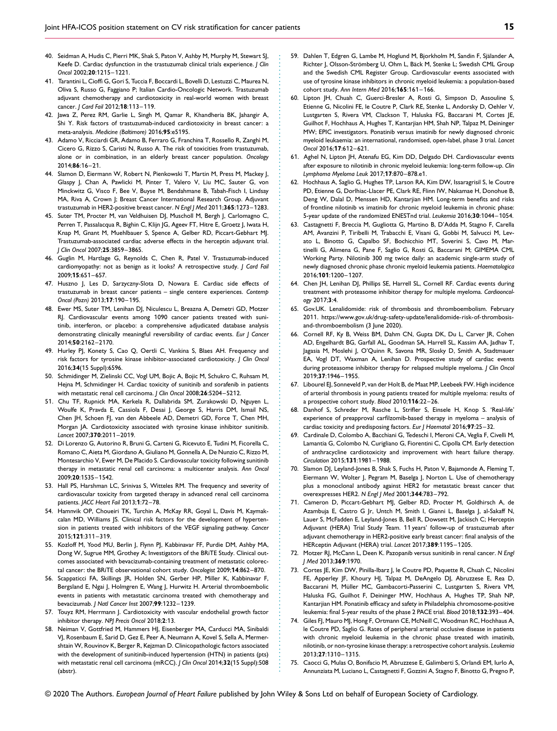- 40. Seidman A, Hudis C, Pierri MK, Shak S, Paton V, Ashby M, Murphy M, Stewart SJ, Keefe D. Cardiac dysfunction in the trastuzumab clinical trials experience. *J Clin Oncol* 2002;**20**:1215–1221.
- 41. Tarantini L, Cioffi G, Gori S, Tuccia F, Boccardi L, Bovelli D, Lestuzzi C, Maurea N, Oliva S, Russo G, Faggiano P; Italian Cardio-Oncologic Network. Trastuzumab adjuvant chemotherapy and cardiotoxicity in real-world women with breast cancer. *J Card Fail* 2012;**18**:113–119.
- 42. Jawa Z, Perez RM, Garlie L, Singh M, Qamar R, Khandheria BK, Jahangir A, Shi Y. Risk factors of trastuzumab-induced cardiotoxicity in breast cancer: a meta-analysis. *Medicine (Baltimore)* 2016;**95**:e5195.
- 43. Adamo V, Ricciardi GR, Adamo B, Ferraro G, Franchina T, Rossello R, Zanghì M, Cicero G, Rizzo S, Caristi N, Russo A. The risk of toxicities from trastuzumab, alone or in combination, in an elderly breast cancer population. *Oncology* 2014;**86**:16–21.
- 44. Slamon D, Eiermann W, Robert N, Pienkowski T, Martin M, Press M, Mackey J, Glaspy J, Chan A, Pawlicki M, Pinter T, Valero V, Liu MC, Sauter G, von Minckwitz G, Visco F, Bee V, Buyse M, Bendahmane B, Tabah-Fisch I, Lindsay MA, Riva A, Crown J; Breast Cancer International Research Group. Adjuvant trastuzumab in HER2-positive breast cancer. *N Engl J Med* 2011;**365**:1273–1283.
- 45. Suter TM, Procter M, van Veldhuisen DJ, Muscholl M, Bergh J, Carlomagno C, Perren T, Passalacqua R, Bighin C, Klijn JG, Ageev FT, Hitre E, Groetz J, Iwata H, Knap M, Gnant M, Muehlbauer S, Spence A, Gelber RD, Piccart-Gebhart MJ. Trastuzumab-associated cardiac adverse effects in the herceptin adjuvant trial. *J Clin Oncol* 2007;**25**:3859–3865.
- 46. Guglin M, Hartlage G, Reynolds C, Chen R, Patel V. Trastuzumab-induced cardiomyopathy: not as benign as it looks? A retrospective study. *J Card Fail* 2009;**15**:651–657.
- 47. Huszno J, Les D, Sarzyczny-Slota D, Nowara E. Cardiac side effects of trastuzumab in breast cancer patients – single centere experiences. *Contemp Oncol (Pozn)* 2013;**17**:190–195.
- 48. Ewer MS, Suter TM, Lenihan DJ, Niculescu L, Breazna A, Demetri GD, Motzer RJ. Cardiovascular events among 1090 cancer patients treated with sunitinib, interferon, or placebo: a comprehensive adjudicated database analysis demonstrating clinically meaningful reversibility of cardiac events. *Eur J Cancer* 2014;**50**:2162–2170.
- 49. Hurley PJ, Konety S, Cao Q, Oertli C, Vankina S, Blaes AH. Frequency and risk factors for tyrosine kinase inhibitor-associated cardiotoxicity. *J Clin Oncol* 2016;**34**(15 Suppl):6596.
- 50. Schmidinger M, Zielinski CC, Vogl UM, Bojic A, Bojic M, Schukro C, Ruhsam M, Hejna M, Schmidinger H. Cardiac toxicity of sunitinib and sorafenib in patients with metastatic renal cell carcinoma. *J Clin Oncol* 2008;**26**:5204–5212.
- 51. Chu TF, Rupnick MA, Kerkela R, Dallabrida SM, Zurakowski D, Nguyen L, Woulfe K, Pravda E, Cassiola F, Desai J, George S, Harris DM, Ismail NS, Chen JH, Schoen FJ, van den Abbeele AD, Demetri GD, Force T, Chen MH, Morgan JA. Cardiotoxicity associated with tyrosine kinase inhibitor sunitinib. *Lancet* 2007;**370**:2011–2019.
- 52. Di Lorenzo G, Autorino R, Bruni G, Carteni G, Ricevuto E, Tudini M, Ficorella C, Romano C, Aieta M, Giordano A, Giuliano M, Gonnella A, De Nunzio C, Rizzo M, Montesarchio V, Ewer M, De Placido S. Cardiovascular toxicity following sunitinib therapy in metastatic renal cell carcinoma: a multicenter analysis. *Ann Oncol* 2009;**20**:1535–1542.
- 53. Hall PS, Harshman LC, Srinivas S, Witteles RM. The frequency and severity of cardiovascular toxicity from targeted therapy in advanced renal cell carcinoma patients. *JACC Heart Fail* 2013;**1**:72–78.
- 54. Hamnvik OP, Choueiri TK, Turchin A, McKay RR, Goyal L, Davis M, Kaymakcalan MD, Williams IS. Clinical risk factors for the development of hypertension in patients treated with inhibitors of the VEGF signaling pathway. *Cancer* 2015;**121**:311–319.
- 55. Kozloff M, Yood MU, Berlin J, Flynn PJ, Kabbinavar FF, Purdie DM, Ashby MA, Dong W, Sugrue MM, Grothey A; Investigators of the BRiTE Study. Clinical outcomes associated with bevacizumab-containing treatment of metastatic colorectal cancer: the BRiTE observational cohort study. *Oncologist* 2009;**14**:862–870.
- 56. Scappaticci FA, Skillings JR, Holden SN, Gerber HP, Miller K, Kabbinavar F, Bergsland E, Ngai J, Holmgren E, Wang J, Hurwitz H. Arterial thromboembolic events in patients with metastatic carcinoma treated with chemotherapy and bevacizumab. *J Natl Cancer Inst* 2007;**99**:1232–1239.
- 57. Touyz RM, Herrmann J. Cardiotoxicity with vascular endothelial growth factor inhibitor therapy. *NPJ Precis Oncol* 2018;**2**:13.
- 58. Neiman V, Gottfried M, Hammers HJ, Eisenberger MA, Carducci MA, Sinibaldi VJ, Rosenbaum E, Sarid D, Gez E, Peer A, Neumann A, Kovel S, Sella A, Mermershtain W, Rouvinov K, Berger R, Kejzman D. Clinicopathologic factors associated with the development of sunitinib-induced hypertension (HTN) in patients (pts) with metastatic renal cell carcinoma (mRCC). *J Clin Oncol* 2014;**32**(15 Suppl):508 (abstr).
- 59. Dahlen T, Edgren G, Lambe M, Hoglund M, Bjorkholm M, Sandin F, Själander A, Richter J, Olsson-Strömberg U, Ohm L, Bäck M, Stenke L; Swedish CML Group and the Swedish CML Register Group. Cardiovascular events associated with use of tyrosine kinase inhibitors in chronic myeloid leukemia: a population-based cohort study. *Ann Intern Med* 2016;**165**:161–166.
- 60. Lipton JH, Chuah C, Guerci-Bresler A, Rosti G, Simpson D, Assouline S, Etienne G, Nicolini FE, le Coutre P, Clark RE, Stenke L, Andorsky D, Oehler V, Lustgarten S, Rivera VM, Clackson T, Haluska FG, Baccarani M, Cortes JE, Guilhot F, Hochhaus A, Hughes T, Kantarjian HM, Shah NP, Talpaz M, Deininger MW; EPIC investigators. Ponatinib versus imatinib for newly diagnosed chronic myeloid leukaemia: an international, randomised, open-label, phase 3 trial. *Lancet Oncol* 2016;**17**:612–621.
- 61. Aghel N, Lipton JH, Atenafu EG, Kim DD, Delgado DH. Cardiovascular events after exposure to nilotinib in chronic myeloid leukemia: long-term follow-up. *Clin Lymphoma Myeloma Leuk* 2017;**17**:870–878.e1.
- 62. Hochhaus A, Saglio G, Hughes TP, Larson RA, Kim DW, Issaragrisil S, le Coutre PD, Etienne G, Dorlhiac-Llacer PE, Clark RE, Flinn IW, Nakamae H, Donohue B, Deng W, Dalal D, Menssen HD, Kantarjian HM. Long-term benefits and risks of frontline nilotinib vs imatinib for chronic myeloid leukemia in chronic phase: 5-year update of the randomized ENESTnd trial. *Leukemia* 2016;**30**:1044–1054.
- 63. Castagnetti F, Breccia M, Gugliotta G, Martino B, D'Adda M, Stagno F, Carella AM, Avanzini P, Tiribelli M, Trabacchi E, Visani G, Gobbi M, Salvucci M, Levato L, Binotto G, Capalbo SF, Bochicchio MT, Soverini S, Cavo M, Martinelli G, Alimena G, Pane F, Saglio G, Rosti G, Baccarani M; GIMEMA CML Working Party. Nilotinib 300 mg twice daily: an academic single-arm study of newly diagnosed chronic phase chronic myeloid leukemia patients. *Haematologica* 2016;**101**:1200–1207.
- 64. Chen JH, Lenihan DJ, Phillips SE, Harrell SL, Cornell RF. Cardiac events during treatment with proteasome inhibitor therapy for multiple myeloma. *Cardiooncology* 2017;**3**:4.
- 65. Gov.UK. Lenalidomide: risk of thrombosis and thromboembolism. February 2011. [https://www.gov.uk/drug-safety-update/lenalidomide-risk-of-thrombosis](https://www.gov.uk/drug-safety-update/lenalidomide-risk-of-thrombosis-and-thromboembolism)[and-thromboembolism](https://www.gov.uk/drug-safety-update/lenalidomide-risk-of-thrombosis-and-thromboembolism) (3 June 2020).
- 66. Cornell RF, Ky B, Weiss BM, Dahm CN, Gupta DK, Du L, Carver JR, Cohen AD, Engelhardt BG, Garfall AL, Goodman SA, Harrell SL, Kassim AA, Jadhav T, Jagasia M, Moslehi J, O'Quinn R, Savona MR, Slosky D, Smith A, Stadtmauer EA, Vogl DT, Waxman A, Lenihan D. Prospective study of cardiac events during proteasome inhibitor therapy for relapsed multiple myeloma. *J Clin Oncol* 2019;**37**:1946–1955.
- 67. Libourel EJ, Sonneveld P, van der Holt B, de Maat MP, Leebeek FW. High incidence of arterial thrombosis in young patients treated for multiple myeloma: results of a prospective cohort study. *Blood* 2010;**116**:22–26.
- 68. Danhof S, Schreder M, Rasche L, Strifler S, Einsele H, Knop S. 'Real-life' experience of preapproval carfilzomib-based therapy in myeloma – analysis of cardiac toxicity and predisposing factors. *Eur J Haematol* 2016;**97**:25–32.
- 69. Cardinale D, Colombo A, Bacchiani G, Tedeschi I, Meroni CA, Veglia F, Civelli M, Lamantia G, Colombo N, Curigliano G, Fiorentini C, Cipolla CM. Early detection of anthracycline cardiotoxicity and improvement with heart failure therapy. *Circulation* 2015;**131**:1981–1988.
- 70. Slamon DJ, Leyland-Jones B, Shak S, Fuchs H, Paton V, Bajamonde A, Fleming T, Eiermann W, Wolter J, Pegram M, Baselga J, Norton L. Use of chemotherapy plus a monoclonal antibody against HER2 for metastatic breast cancer that overexpresses HER2. *N Engl J Med* 2001;**344**:783–792.
- 71. Cameron D, Piccart-Gebhart MJ, Gelber RD, Procter M, Goldhirsch A, de Azambuja E, Castro G Jr, Untch M, Smith I, Gianni L, Baselga J, al-Sakaff N, Lauer S, McFadden E, Leyland-Jones B, Bell R, Dowsett M, Jackisch C; Herceptin Adjuvant (HERA) Trial Study Team. 11 years' follow-up of trastuzumab after adjuvant chemotherapy in HER2-positive early breast cancer: final analysis of the HERceptin Adjuvant (HERA) trial. *Lancet* 2017;**389**:1195–1205.
- 72. Motzer RJ, McCann L, Deen K. Pazopanib versus sunitinib in renal cancer. *N Engl J Med* 2013;**369**:1970.
- 73. Cortes JE, Kim DW, Pinilla-Ibarz J, le Coutre PD, Paquette R, Chuah C, Nicolini FE, Apperley JF, Khoury HJ, Talpaz M, DeAngelo DJ, Abruzzese E, Rea D, Baccarani M, Müller MC, Gambacorti-Passerini C, Lustgarten S, Rivera VM, Haluska FG, Guilhot F, Deininger MW, Hochhaus A, Hughes TP, Shah NP, Kantarjian HM. Ponatinib efficacy and safety in Philadelphia chromosome-positive leukemia: final 5-year results of the phase 2 PACE trial. *Blood* 2018;**132**:393–404.
- 74. Giles FJ, Mauro MJ, Hong F, Ortmann CE, McNeill C, Woodman RC, Hochhaus A, le Coutre PD, Saglio G. Rates of peripheral arterial occlusive disease in patients with chronic myeloid leukemia in the chronic phase treated with imatinib, nilotinib, or non-tyrosine kinase therapy: a retrospective cohort analysis. *Leukemia* 2013;**27**:1310–1315.
- 75. Caocci G, Mulas O, Bonifacio M, Abruzzese E, Galimberti S, Orlandi EM, Iurlo A, Annunziata M, Luciano L, Castagnetti F, Gozzini A, Stagno F, Binotto G, Pregno P,